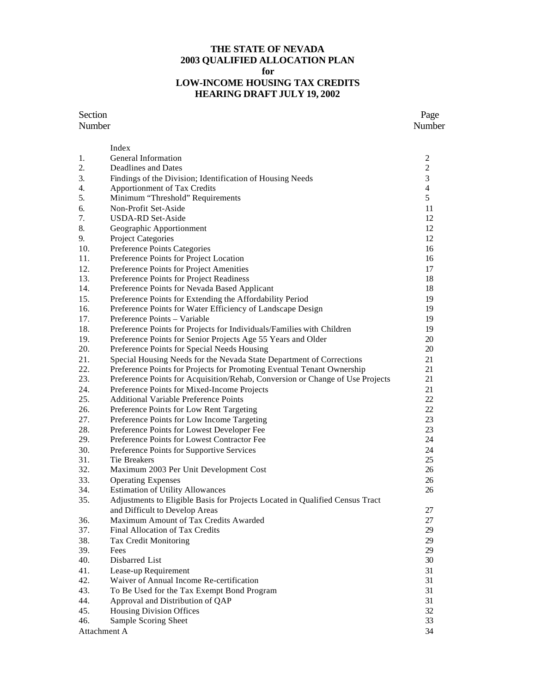#### **THE STATE OF NEVADA 2003 QUALIFIED ALLOCATION PLAN for LOW-INCOME HOUSING TAX CREDITS HEARING DRAFT JULY 19, 2002**

#### Section Page

|              | Index                                                                         |                |
|--------------|-------------------------------------------------------------------------------|----------------|
| 1.           | General Information                                                           | $\overline{c}$ |
| 2.           | Deadlines and Dates                                                           | $\overline{c}$ |
| 3.           | Findings of the Division; Identification of Housing Needs                     | 3              |
| 4.           | Apportionment of Tax Credits                                                  | $\overline{4}$ |
| 5.           | Minimum "Threshold" Requirements                                              | 5              |
| 6.           | Non-Profit Set-Aside                                                          | 11             |
| 7.           | <b>USDA-RD Set-Aside</b>                                                      | 12             |
| 8.           | Geographic Apportionment                                                      | 12             |
| 9.           | <b>Project Categories</b>                                                     | 12             |
| 10.          | Preference Points Categories                                                  | 16             |
| 11.          | Preference Points for Project Location                                        | 16             |
| 12.          | Preference Points for Project Amenities                                       | 17             |
| 13.          | Preference Points for Project Readiness                                       | 18             |
| 14.          | Preference Points for Nevada Based Applicant                                  | 18             |
| 15.          | Preference Points for Extending the Affordability Period                      | 19             |
| 16.          | Preference Points for Water Efficiency of Landscape Design                    | 19             |
| 17.          | Preference Points – Variable                                                  | 19             |
| 18.          | Preference Points for Projects for Individuals/Families with Children         | 19             |
| 19.          | Preference Points for Senior Projects Age 55 Years and Older                  | 20             |
| 20.          | Preference Points for Special Needs Housing                                   | 20             |
| 21.          | Special Housing Needs for the Nevada State Department of Corrections          | 21             |
| 22.          | Preference Points for Projects for Promoting Eventual Tenant Ownership        | 21             |
| 23.          | Preference Points for Acquisition/Rehab, Conversion or Change of Use Projects | 21             |
| 24.          | Preference Points for Mixed-Income Projects                                   | 21             |
| 25.          | Additional Variable Preference Points                                         | 22             |
| 26.          | Preference Points for Low Rent Targeting                                      | 22             |
| 27.          | Preference Points for Low Income Targeting                                    | 23             |
| 28.          | Preference Points for Lowest Developer Fee                                    | 23             |
| 29.          | Preference Points for Lowest Contractor Fee                                   | 24             |
| 30.          | Preference Points for Supportive Services                                     | 24             |
| 31.          | Tie Breakers                                                                  | 25             |
| 32.          | Maximum 2003 Per Unit Development Cost                                        | 26             |
| 33.          | <b>Operating Expenses</b>                                                     | 26             |
| 34.          | <b>Estimation of Utility Allowances</b>                                       | 26             |
| 35.          | Adjustments to Eligible Basis for Projects Located in Qualified Census Tract  |                |
|              | and Difficult to Develop Areas                                                | 27             |
| 36.          | Maximum Amount of Tax Credits Awarded                                         | 27             |
| 37.          | Final Allocation of Tax Credits                                               | 29             |
| 38.          | Tax Credit Monitoring                                                         | 29             |
| 39.          | Fees                                                                          | 29             |
| 40.          | Disbarred List                                                                | 30             |
| 41.          | Lease-up Requirement                                                          | 31             |
| 42.          | Waiver of Annual Income Re-certification                                      | 31             |
| 43.          | To Be Used for the Tax Exempt Bond Program                                    | 31             |
| 44.          | Approval and Distribution of QAP                                              | 31             |
| 45.          | Housing Division Offices                                                      | 32             |
| 46.          | Sample Scoring Sheet                                                          | 33             |
| Attachment A |                                                                               | 34             |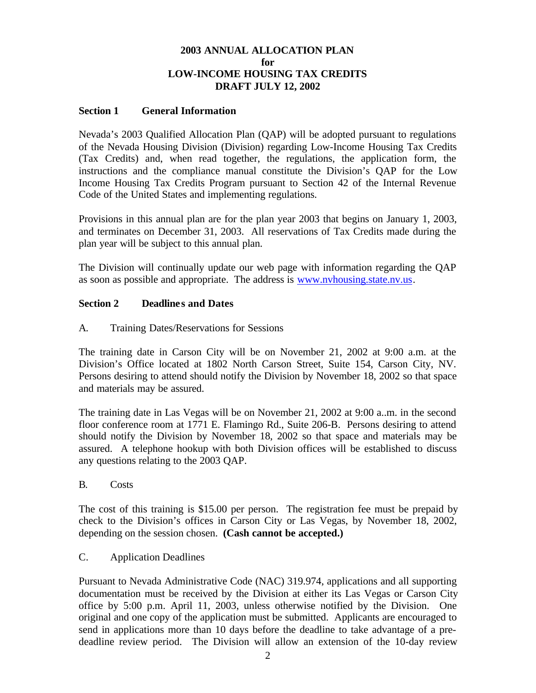# **2003 ANNUAL ALLOCATION PLAN for LOW-INCOME HOUSING TAX CREDITS DRAFT JULY 12, 2002**

#### **Section 1 General Information**

Nevada's 2003 Qualified Allocation Plan (QAP) will be adopted pursuant to regulations of the Nevada Housing Division (Division) regarding Low-Income Housing Tax Credits (Tax Credits) and, when read together, the regulations, the application form, the instructions and the compliance manual constitute the Division's QAP for the Low Income Housing Tax Credits Program pursuant to Section 42 of the Internal Revenue Code of the United States and implementing regulations.

Provisions in this annual plan are for the plan year 2003 that begins on January 1, 2003, and terminates on December 31, 2003. All reservations of Tax Credits made during the plan year will be subject to this annual plan.

The Division will continually update our web page with information regarding the QAP as soon as possible and appropriate. The address is www.nvhousing.state.nv.us.

#### **Section 2 Deadlines and Dates**

A. Training Dates/Reservations for Sessions

The training date in Carson City will be on November 21, 2002 at 9:00 a.m. at the Division's Office located at 1802 North Carson Street, Suite 154, Carson City, NV. Persons desiring to attend should notify the Division by November 18, 2002 so that space and materials may be assured.

The training date in Las Vegas will be on November 21, 2002 at 9:00 a..m. in the second floor conference room at 1771 E. Flamingo Rd., Suite 206-B. Persons desiring to attend should notify the Division by November 18, 2002 so that space and materials may be assured. A telephone hookup with both Division offices will be established to discuss any questions relating to the 2003 QAP.

B. Costs

The cost of this training is \$15.00 per person. The registration fee must be prepaid by check to the Division's offices in Carson City or Las Vegas, by November 18, 2002, depending on the session chosen. **(Cash cannot be accepted.)**

#### C. Application Deadlines

Pursuant to Nevada Administrative Code (NAC) 319.974, applications and all supporting documentation must be received by the Division at either its Las Vegas or Carson City office by 5:00 p.m. April 11, 2003, unless otherwise notified by the Division. One original and one copy of the application must be submitted. Applicants are encouraged to send in applications more than 10 days before the deadline to take advantage of a predeadline review period. The Division will allow an extension of the 10-day review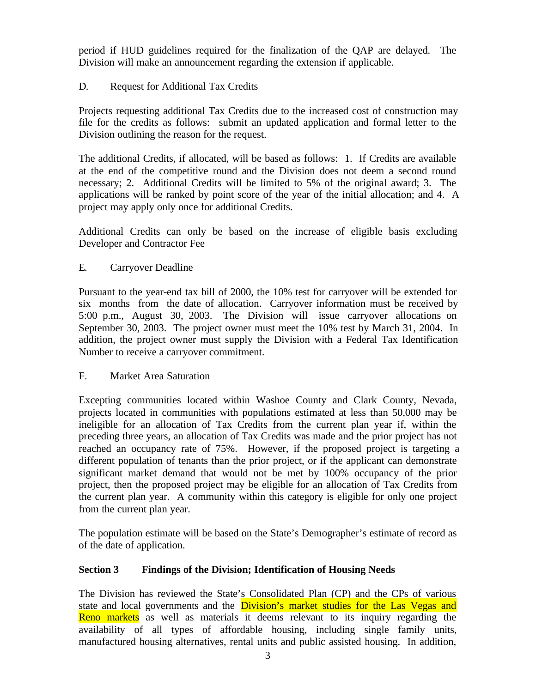period if HUD guidelines required for the finalization of the QAP are delayed. The Division will make an announcement regarding the extension if applicable.

# D. Request for Additional Tax Credits

Projects requesting additional Tax Credits due to the increased cost of construction may file for the credits as follows: submit an updated application and formal letter to the Division outlining the reason for the request.

The additional Credits, if allocated, will be based as follows: 1. If Credits are available at the end of the competitive round and the Division does not deem a second round necessary; 2. Additional Credits will be limited to 5% of the original award; 3. The applications will be ranked by point score of the year of the initial allocation; and 4. A project may apply only once for additional Credits.

Additional Credits can only be based on the increase of eligible basis excluding Developer and Contractor Fee

E. Carryover Deadline

Pursuant to the year-end tax bill of 2000, the 10% test for carryover will be extended for six months from the date of allocation. Carryover information must be received by 5:00 p.m., August 30, 2003. The Division will issue carryover allocations on September 30, 2003. The project owner must meet the 10% test by March 31, 2004. In addition, the project owner must supply the Division with a Federal Tax Identification Number to receive a carryover commitment.

F. Market Area Saturation

Excepting communities located within Washoe County and Clark County, Nevada, projects located in communities with populations estimated at less than 50,000 may be ineligible for an allocation of Tax Credits from the current plan year if, within the preceding three years, an allocation of Tax Credits was made and the prior project has not reached an occupancy rate of 75%. However, if the proposed project is targeting a different population of tenants than the prior project, or if the applicant can demonstrate significant market demand that would not be met by 100% occupancy of the prior project, then the proposed project may be eligible for an allocation of Tax Credits from the current plan year. A community within this category is eligible for only one project from the current plan year.

The population estimate will be based on the State's Demographer's estimate of record as of the date of application.

# **Section 3 Findings of the Division; Identification of Housing Needs**

The Division has reviewed the State's Consolidated Plan (CP) and the CPs of various state and local governments and the **Division's market studies for the Las Vegas and** Reno markets as well as materials it deems relevant to its inquiry regarding the availability of all types of affordable housing, including single family units, manufactured housing alternatives, rental units and public assisted housing. In addition,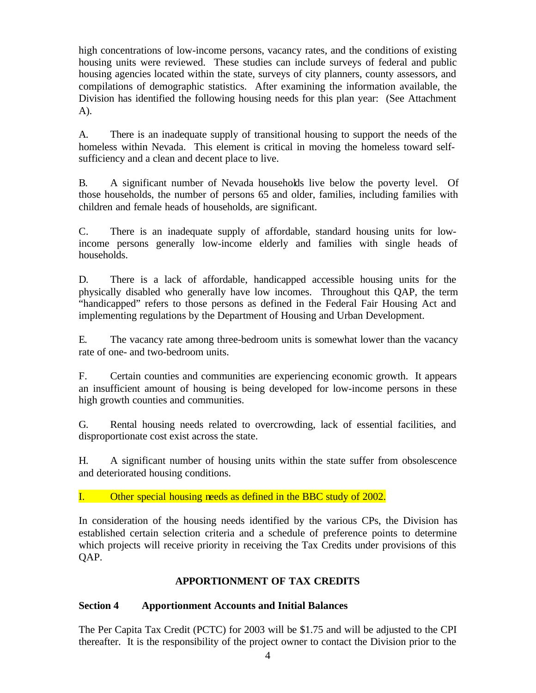high concentrations of low-income persons, vacancy rates, and the conditions of existing housing units were reviewed. These studies can include surveys of federal and public housing agencies located within the state, surveys of city planners, county assessors, and compilations of demographic statistics. After examining the information available, the Division has identified the following housing needs for this plan year: (See Attachment A).

A. There is an inadequate supply of transitional housing to support the needs of the homeless within Nevada. This element is critical in moving the homeless toward selfsufficiency and a clean and decent place to live.

B. A significant number of Nevada households live below the poverty level. Of those households, the number of persons 65 and older, families, including families with children and female heads of households, are significant.

C. There is an inadequate supply of affordable, standard housing units for lowincome persons generally low-income elderly and families with single heads of households.

D. There is a lack of affordable, handicapped accessible housing units for the physically disabled who generally have low incomes. Throughout this QAP, the term "handicapped" refers to those persons as defined in the Federal Fair Housing Act and implementing regulations by the Department of Housing and Urban Development.

E. The vacancy rate among three-bedroom units is somewhat lower than the vacancy rate of one- and two-bedroom units.

F. Certain counties and communities are experiencing economic growth. It appears an insufficient amount of housing is being developed for low-income persons in these high growth counties and communities.

G. Rental housing needs related to overcrowding, lack of essential facilities, and disproportionate cost exist across the state.

H. A significant number of housing units within the state suffer from obsolescence and deteriorated housing conditions.

I. Other special housing needs as defined in the BBC study of 2002.

In consideration of the housing needs identified by the various CPs, the Division has established certain selection criteria and a schedule of preference points to determine which projects will receive priority in receiving the Tax Credits under provisions of this QAP.

# **APPORTIONMENT OF TAX CREDITS**

# **Section 4 Apportionment Accounts and Initial Balances**

The Per Capita Tax Credit (PCTC) for 2003 will be \$1.75 and will be adjusted to the CPI thereafter. It is the responsibility of the project owner to contact the Division prior to the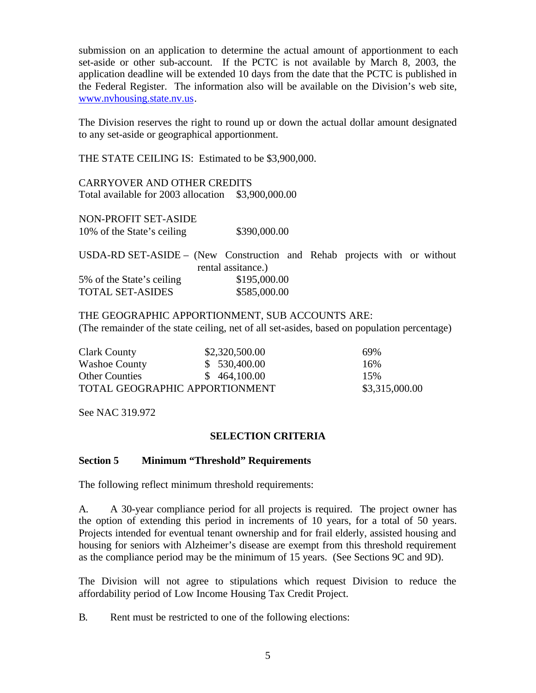submission on an application to determine the actual amount of apportionment to each set-aside or other sub-account. If the PCTC is not available by March 8, 2003, the application deadline will be extended 10 days from the date that the PCTC is published in the Federal Register. The information also will be available on the Division's web site, www.nvhousing.state.nv.us.

The Division reserves the right to round up or down the actual dollar amount designated to any set-aside or geographical apportionment.

THE STATE CEILING IS: Estimated to be \$3,900,000.

CARRYOVER AND OTHER CREDITS Total available for 2003 allocation \$3,900,000.00

NON-PROFIT SET-ASIDE 10% of the State's ceiling \$390,000.00

USDA-RD SET-ASIDE – (New Construction and Rehab projects with or without rental assitance.) 5% of the State's ceiling \$195,000.00 TOTAL SET-ASIDES \$585,000.00

THE GEOGRAPHIC APPORTIONMENT, SUB ACCOUNTS ARE: (The remainder of the state ceiling, net of all set-asides, based on population percentage)

| Clark County                   | \$2,320,500.00 | 69%            |
|--------------------------------|----------------|----------------|
| <b>Washoe County</b>           | \$530,400.00   | 16%            |
| <b>Other Counties</b>          | \$464,100.00   | 15%            |
| TOTAL GEOGRAPHIC APPORTIONMENT |                | \$3,315,000.00 |

See NAC 319.972

#### **SELECTION CRITERIA**

#### **Section 5 Minimum "Threshold" Requirements**

The following reflect minimum threshold requirements:

A. A 30-year compliance period for all projects is required. The project owner has the option of extending this period in increments of 10 years, for a total of 50 years. Projects intended for eventual tenant ownership and for frail elderly, assisted housing and housing for seniors with Alzheimer's disease are exempt from this threshold requirement as the compliance period may be the minimum of 15 years. (See Sections 9C and 9D).

The Division will not agree to stipulations which request Division to reduce the affordability period of Low Income Housing Tax Credit Project.

B. Rent must be restricted to one of the following elections: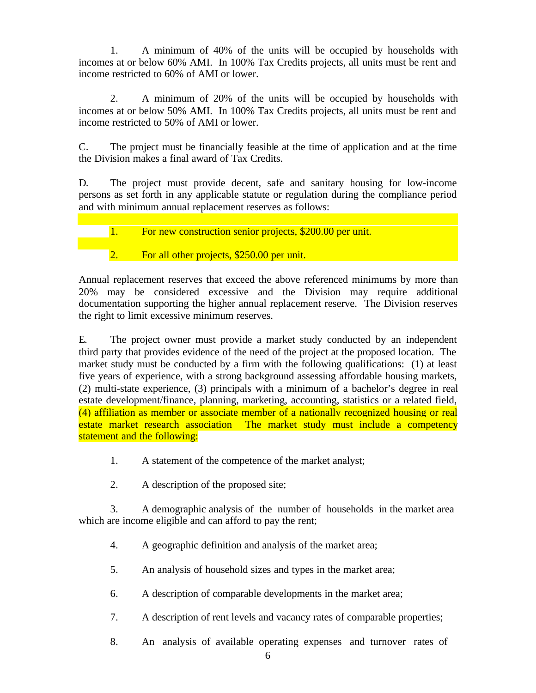1. A minimum of 40% of the units will be occupied by households with incomes at or below 60% AMI. In 100% Tax Credits projects, all units must be rent and income restricted to 60% of AMI or lower.

2. A minimum of 20% of the units will be occupied by households with incomes at or below 50% AMI. In 100% Tax Credits projects, all units must be rent and income restricted to 50% of AMI or lower.

C. The project must be financially feasible at the time of application and at the time the Division makes a final award of Tax Credits.

D. The project must provide decent, safe and sanitary housing for low-income persons as set forth in any applicable statute or regulation during the compliance period and with minimum annual replacement reserves as follows:

1. For new construction senior projects, \$200.00 per unit.

2. For all other projects, \$250.00 per unit.

Annual replacement reserves that exceed the above referenced minimums by more than 20% may be considered excessive and the Division may require additional documentation supporting the higher annual replacement reserve. The Division reserves the right to limit excessive minimum reserves.

E. The project owner must provide a market study conducted by an independent third party that provides evidence of the need of the project at the proposed location. The market study must be conducted by a firm with the following qualifications: (1) at least five years of experience, with a strong background assessing affordable housing markets, (2) multi-state experience, (3) principals with a minimum of a bachelor's degree in real estate development/finance, planning, marketing, accounting, statistics or a related field, (4) affiliation as member or associate member of a nationally recognized housing or real estate market research association The market study must include a competency statement and the following:

- 1. A statement of the competence of the market analyst;
- 2. A description of the proposed site;

3. A demographic analysis of the number of households in the market area which are income eligible and can afford to pay the rent;

- 4. A geographic definition and analysis of the market area;
- 5. An analysis of household sizes and types in the market area;
- 6. A description of comparable developments in the market area;
- 7. A description of rent levels and vacancy rates of comparable properties;
- 8. An analysis of available operating expenses and turnover rates of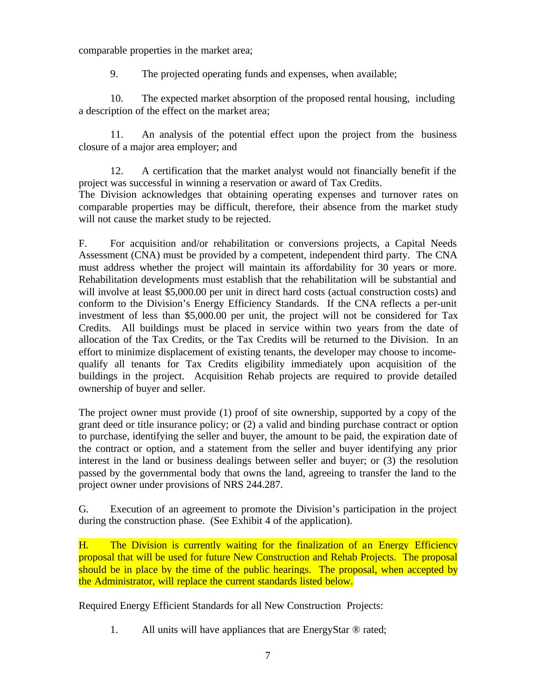comparable properties in the market area;

9. The projected operating funds and expenses, when available;

10. The expected market absorption of the proposed rental housing, including a description of the effect on the market area;

11. An analysis of the potential effect upon the project from the business closure of a major area employer; and

12. A certification that the market analyst would not financially benefit if the project was successful in winning a reservation or award of Tax Credits. The Division acknowledges that obtaining operating expenses and turnover rates on comparable properties may be difficult, therefore, their absence from the market study will not cause the market study to be rejected.

F. For acquisition and/or rehabilitation or conversions projects, a Capital Needs Assessment (CNA) must be provided by a competent, independent third party. The CNA must address whether the project will maintain its affordability for 30 years or more. Rehabilitation developments must establish that the rehabilitation will be substantial and will involve at least \$5,000.00 per unit in direct hard costs (actual construction costs) and conform to the Division's Energy Efficiency Standards. If the CNA reflects a per-unit investment of less than \$5,000.00 per unit, the project will not be considered for Tax Credits. All buildings must be placed in service within two years from the date of allocation of the Tax Credits, or the Tax Credits will be returned to the Division. In an effort to minimize displacement of existing tenants, the developer may choose to incomequalify all tenants for Tax Credits eligibility immediately upon acquisition of the buildings in the project. Acquisition Rehab projects are required to provide detailed ownership of buyer and seller.

The project owner must provide (1) proof of site ownership, supported by a copy of the grant deed or title insurance policy; or (2) a valid and binding purchase contract or option to purchase, identifying the seller and buyer, the amount to be paid, the expiration date of the contract or option, and a statement from the seller and buyer identifying any prior interest in the land or business dealings between seller and buyer; or (3) the resolution passed by the governmental body that owns the land, agreeing to transfer the land to the project owner under provisions of NRS 244.287.

G. Execution of an agreement to promote the Division's participation in the project during the construction phase. (See Exhibit 4 of the application).

H. The Division is currently waiting for the finalization of an Energy Efficiency proposal that will be used for future New Construction and Rehab Projects. The proposal should be in place by the time of the public hearings. The proposal, when accepted by the Administrator, will replace the current standards listed below.

Required Energy Efficient Standards for all New Construction Projects:

1. All units will have appliances that are EnergyStar ® rated;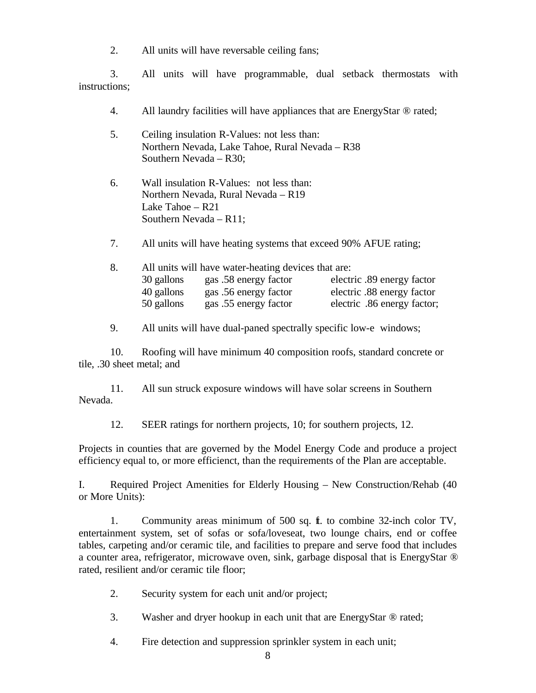2. All units will have reversable ceiling fans;

3. All units will have programmable, dual setback thermostats with instructions;

- 4. All laundry facilities will have appliances that are EnergyStar ® rated;
- 5. Ceiling insulation R-Values: not less than: Northern Nevada, Lake Tahoe, Rural Nevada – R38 Southern Nevada – R30;
- 6. Wall insulation R-Values: not less than: Northern Nevada, Rural Nevada – R19 Lake Tahoe – R21 Southern Nevada – R11;
- 7. All units will have heating systems that exceed 90% AFUE rating;

| All units will have water-heating devices that are:<br>8. |            |                       |                             |
|-----------------------------------------------------------|------------|-----------------------|-----------------------------|
|                                                           | 30 gallons | gas .58 energy factor | electric .89 energy factor  |
|                                                           | 40 gallons | gas .56 energy factor | electric .88 energy factor  |
|                                                           | 50 gallons | gas .55 energy factor | electric .86 energy factor; |

9. All units will have dual-paned spectrally specific low-e windows;

10. Roofing will have minimum 40 composition roofs, standard concrete or tile, .30 sheet metal; and

11. All sun struck exposure windows will have solar screens in Southern Nevada.

12. SEER ratings for northern projects, 10; for southern projects, 12.

Projects in counties that are governed by the Model Energy Code and produce a project efficiency equal to, or more efficienct, than the requirements of the Plan are acceptable.

I. Required Project Amenities for Elderly Housing – New Construction/Rehab (40 or More Units):

1. Community areas minimum of 500 sq. ft. to combine 32-inch color TV, entertainment system, set of sofas or sofa/loveseat, two lounge chairs, end or coffee tables, carpeting and/or ceramic tile, and facilities to prepare and serve food that includes a counter area, refrigerator, microwave oven, sink, garbage disposal that is EnergyStar ® rated, resilient and/or ceramic tile floor;

- 2. Security system for each unit and/or project;
- 3. Washer and dryer hookup in each unit that are EnergyStar ® rated;
- 4. Fire detection and suppression sprinkler system in each unit;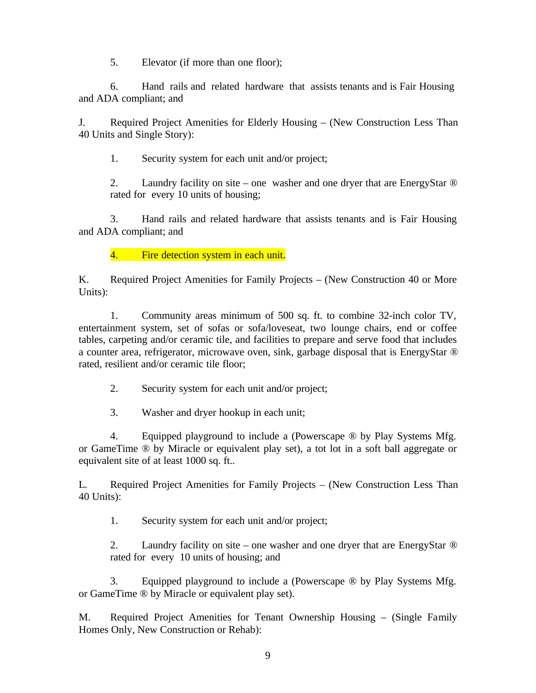5. Elevator (if more than one floor);

6. Hand rails and related hardware that assists tenants and is Fair Housing and ADA compliant; and

J. Required Project Amenities for Elderly Housing – (New Construction Less Than 40 Units and Single Story):

1. Security system for each unit and/or project;

2. Laundry facility on site – one washer and one dryer that are EnergyStar ® rated for every 10 units of housing;

3. Hand rails and related hardware that assists tenants and is Fair Housing and ADA compliant; and

4. Fire detection system in each unit.

K. Required Project Amenities for Family Projects – (New Construction 40 or More Units):

1. Community areas minimum of 500 sq. ft. to combine 32-inch color TV, entertainment system, set of sofas or sofa/loveseat, two lounge chairs, end or coffee tables, carpeting and/or ceramic tile, and facilities to prepare and serve food that includes a counter area, refrigerator, microwave oven, sink, garbage disposal that is EnergyStar ® rated, resilient and/or ceramic tile floor;

2. Security system for each unit and/or project;

3. Washer and dryer hookup in each unit;

4. Equipped playground to include a (Powerscape ® by Play Systems Mfg. or GameTime ® by Miracle or equivalent play set), a tot lot in a soft ball aggregate or equivalent site of at least 1000 sq. ft..

L. Required Project Amenities for Family Projects – (New Construction Less Than 40 Units):

1. Security system for each unit and/or project;

2. Laundry facility on site – one washer and one dryer that are EnergyStar <sup>®</sup> rated for every 10 units of housing; and

3. Equipped playground to include a (Powerscape ® by Play Systems Mfg. or GameTime ® by Miracle or equivalent play set).

M. Required Project Amenities for Tenant Ownership Housing – (Single Family Homes Only, New Construction or Rehab):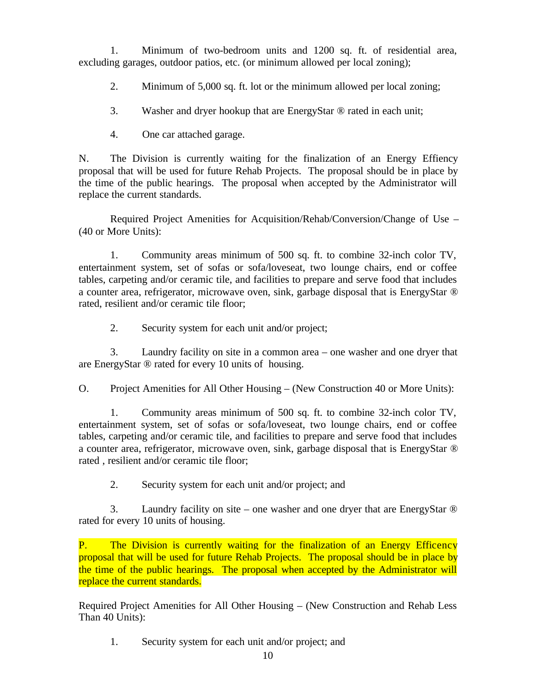1. Minimum of two-bedroom units and 1200 sq. ft. of residential area, excluding garages, outdoor patios, etc. (or minimum allowed per local zoning);

2. Minimum of 5,000 sq. ft. lot or the minimum allowed per local zoning;

3. Washer and dryer hookup that are EnergyStar ® rated in each unit;

4. One car attached garage.

N. The Division is currently waiting for the finalization of an Energy Effiency proposal that will be used for future Rehab Projects. The proposal should be in place by the time of the public hearings. The proposal when accepted by the Administrator will replace the current standards.

Required Project Amenities for Acquisition/Rehab/Conversion/Change of Use – (40 or More Units):

1. Community areas minimum of 500 sq. ft. to combine 32-inch color TV, entertainment system, set of sofas or sofa/loveseat, two lounge chairs, end or coffee tables, carpeting and/or ceramic tile, and facilities to prepare and serve food that includes a counter area, refrigerator, microwave oven, sink, garbage disposal that is EnergyStar ® rated, resilient and/or ceramic tile floor;

2. Security system for each unit and/or project;

3. Laundry facility on site in a common area – one washer and one dryer that are EnergyStar ® rated for every 10 units of housing.

O. Project Amenities for All Other Housing – (New Construction 40 or More Units):

1. Community areas minimum of 500 sq. ft. to combine 32-inch color TV, entertainment system, set of sofas or sofa/loveseat, two lounge chairs, end or coffee tables, carpeting and/or ceramic tile, and facilities to prepare and serve food that includes a counter area, refrigerator, microwave oven, sink, garbage disposal that is EnergyStar ® rated , resilient and/or ceramic tile floor;

2. Security system for each unit and/or project; and

3. Laundry facility on site – one washer and one dryer that are EnergyStar ® rated for every 10 units of housing.

P. The Division is currently waiting for the finalization of an Energy Efficency proposal that will be used for future Rehab Projects. The proposal should be in place by the time of the public hearings. The proposal when accepted by the Administrator will replace the current standards.

Required Project Amenities for All Other Housing – (New Construction and Rehab Less Than 40 Units):

1. Security system for each unit and/or project; and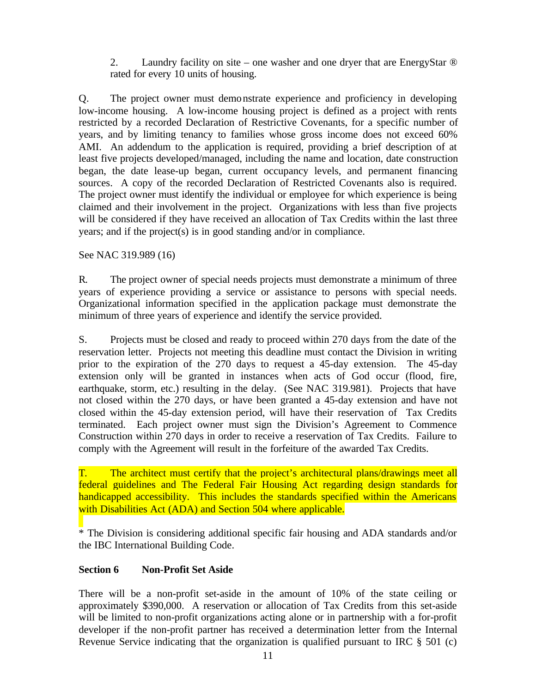2. Laundry facility on site – one washer and one dryer that are EnergyStar ® rated for every 10 units of housing.

Q. The project owner must demonstrate experience and proficiency in developing low-income housing. A low-income housing project is defined as a project with rents restricted by a recorded Declaration of Restrictive Covenants, for a specific number of years, and by limiting tenancy to families whose gross income does not exceed 60% AMI. An addendum to the application is required, providing a brief description of at least five projects developed/managed, including the name and location, date construction began, the date lease-up began, current occupancy levels, and permanent financing sources. A copy of the recorded Declaration of Restricted Covenants also is required. The project owner must identify the individual or employee for which experience is being claimed and their involvement in the project. Organizations with less than five projects will be considered if they have received an allocation of Tax Credits within the last three years; and if the project(s) is in good standing and/or in compliance.

See NAC 319.989 (16)

R. The project owner of special needs projects must demonstrate a minimum of three years of experience providing a service or assistance to persons with special needs. Organizational information specified in the application package must demonstrate the minimum of three years of experience and identify the service provided.

S. Projects must be closed and ready to proceed within 270 days from the date of the reservation letter. Projects not meeting this deadline must contact the Division in writing prior to the expiration of the 270 days to request a 45-day extension. The 45-day extension only will be granted in instances when acts of God occur (flood, fire, earthquake, storm, etc.) resulting in the delay. (See NAC 319.981). Projects that have not closed within the 270 days, or have been granted a 45-day extension and have not closed within the 45-day extension period, will have their reservation of Tax Credits terminated. Each project owner must sign the Division's Agreement to Commence Construction within 270 days in order to receive a reservation of Tax Credits. Failure to comply with the Agreement will result in the forfeiture of the awarded Tax Credits.

T. The architect must certify that the project's architectural plans/drawings meet all federal guidelines and The Federal Fair Housing Act regarding design standards for handicapped accessibility. This includes the standards specified within the Americans with Disabilities Act (ADA) and Section 504 where applicable.

\* The Division is considering additional specific fair housing and ADA standards and/or the IBC International Building Code.

# **Section 6 Non-Profit Set Aside**

There will be a non-profit set-aside in the amount of 10% of the state ceiling or approximately \$390,000. A reservation or allocation of Tax Credits from this set-aside will be limited to non-profit organizations acting alone or in partnership with a for-profit developer if the non-profit partner has received a determination letter from the Internal Revenue Service indicating that the organization is qualified pursuant to IRC § 501 (c)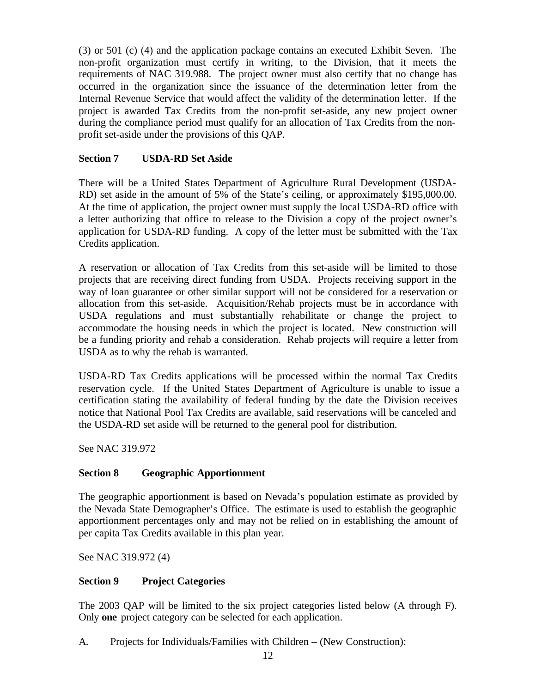(3) or 501 (c) (4) and the application package contains an executed Exhibit Seven. The non-profit organization must certify in writing, to the Division, that it meets the requirements of NAC 319.988. The project owner must also certify that no change has occurred in the organization since the issuance of the determination letter from the Internal Revenue Service that would affect the validity of the determination letter. If the project is awarded Tax Credits from the non-profit set-aside, any new project owner during the compliance period must qualify for an allocation of Tax Credits from the nonprofit set-aside under the provisions of this QAP.

# **Section 7 USDA-RD Set Aside**

There will be a United States Department of Agriculture Rural Development (USDA-RD) set aside in the amount of 5% of the State's ceiling, or approximately \$195,000.00. At the time of application, the project owner must supply the local USDA-RD office with a letter authorizing that office to release to the Division a copy of the project owner's application for USDA-RD funding. A copy of the letter must be submitted with the Tax Credits application.

A reservation or allocation of Tax Credits from this set-aside will be limited to those projects that are receiving direct funding from USDA. Projects receiving support in the way of loan guarantee or other similar support will not be considered for a reservation or allocation from this set-aside. Acquisition/Rehab projects must be in accordance with USDA regulations and must substantially rehabilitate or change the project to accommodate the housing needs in which the project is located. New construction will be a funding priority and rehab a consideration. Rehab projects will require a letter from USDA as to why the rehab is warranted.

USDA-RD Tax Credits applications will be processed within the normal Tax Credits reservation cycle. If the United States Department of Agriculture is unable to issue a certification stating the availability of federal funding by the date the Division receives notice that National Pool Tax Credits are available, said reservations will be canceled and the USDA-RD set aside will be returned to the general pool for distribution.

See NAC 319.972

# **Section 8 Geographic Apportionment**

The geographic apportionment is based on Nevada's population estimate as provided by the Nevada State Demographer's Office. The estimate is used to establish the geographic apportionment percentages only and may not be relied on in establishing the amount of per capita Tax Credits available in this plan year.

See NAC 319.972 (4)

# **Section 9 Project Categories**

The 2003 QAP will be limited to the six project categories listed below (A through F). Only **one** project category can be selected for each application.

A. Projects for Individuals/Families with Children – (New Construction):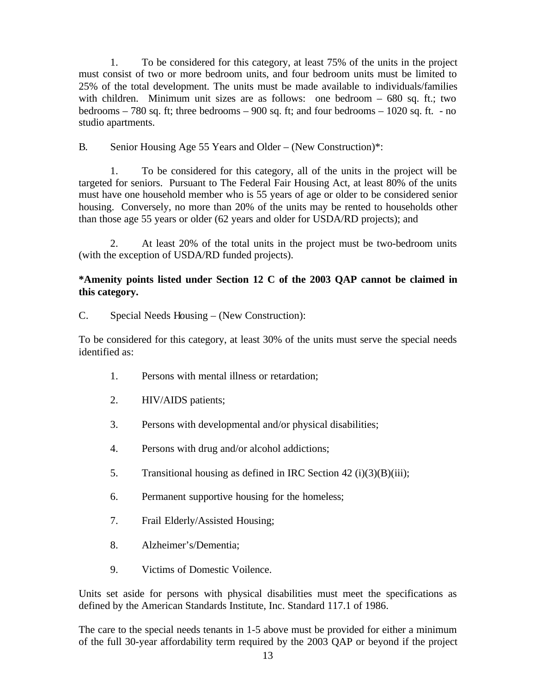1. To be considered for this category, at least 75% of the units in the project must consist of two or more bedroom units, and four bedroom units must be limited to 25% of the total development. The units must be made available to individuals/families with children. Minimum unit sizes are as follows: one bedroom – 680 sq. ft.; two bedrooms – 780 sq. ft; three bedrooms – 900 sq. ft; and four bedrooms – 1020 sq. ft. - no studio apartments.

B. Senior Housing Age 55 Years and Older – (New Construction)\*:

1. To be considered for this category, all of the units in the project will be targeted for seniors. Pursuant to The Federal Fair Housing Act, at least 80% of the units must have one household member who is 55 years of age or older to be considered senior housing. Conversely, no more than 20% of the units may be rented to households other than those age 55 years or older (62 years and older for USDA/RD projects); and

2. At least 20% of the total units in the project must be two-bedroom units (with the exception of USDA/RD funded projects).

# **\*Amenity points listed under Section 12 C of the 2003 QAP cannot be claimed in this category.**

C. Special Needs Housing – (New Construction):

To be considered for this category, at least 30% of the units must serve the special needs identified as:

- 1. Persons with mental illness or retardation;
- 2. HIV/AIDS patients;
- 3. Persons with developmental and/or physical disabilities;
- 4. Persons with drug and/or alcohol addictions;
- 5. Transitional housing as defined in IRC Section 42 (i)(3)(B)(iii);
- 6. Permanent supportive housing for the homeless;
- 7. Frail Elderly/Assisted Housing;
- 8. Alzheimer's/Dementia;
- 9. Victims of Domestic Voilence.

Units set aside for persons with physical disabilities must meet the specifications as defined by the American Standards Institute, Inc. Standard 117.1 of 1986.

The care to the special needs tenants in 1-5 above must be provided for either a minimum of the full 30-year affordability term required by the 2003 QAP or beyond if the project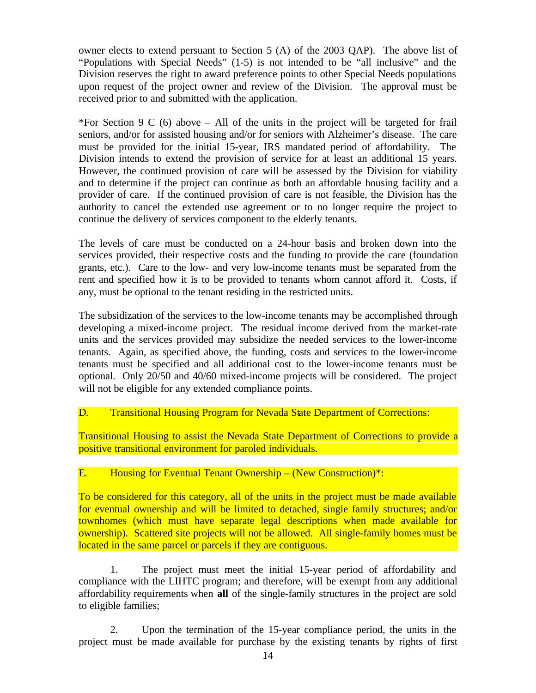owner elects to extend persuant to Section 5 (A) of the 2003 QAP). The above list of "Populations with Special Needs" (1-5) is not intended to be "all inclusive" and the Division reserves the right to award preference points to other Special Needs populations upon request of the project owner and review of the Division. The approval must be received prior to and submitted with the application.

\*For Section 9 C (6) above – All of the units in the project will be targeted for frail seniors, and/or for assisted housing and/or for seniors with Alzheimer's disease. The care must be provided for the initial 15-year, IRS mandated period of affordability. The Division intends to extend the provision of service for at least an additional 15 years. However, the continued provision of care will be assessed by the Division for viability and to determine if the project can continue as both an affordable housing facility and a provider of care. If the continued provision of care is not feasible, the Division has the authority to cancel the extended use agreement or to no longer require the project to continue the delivery of services component to the elderly tenants.

The levels of care must be conducted on a 24-hour basis and broken down into the services provided, their respective costs and the funding to provide the care (foundation grants, etc.). Care to the low- and very low-income tenants must be separated from the rent and specified how it is to be provided to tenants whom cannot afford it. Costs, if any, must be optional to the tenant residing in the restricted units.

The subsidization of the services to the low-income tenants may be accomplished through developing a mixed-income project. The residual income derived from the market-rate units and the services provided may subsidize the needed services to the lower-income tenants. Again, as specified above, the funding, costs and services to the lower-income tenants must be specified and all additional cost to the lower-income tenants must be optional. Only 20/50 and 40/60 mixed-income projects will be considered. The project will not be eligible for any extended compliance points.

#### D. Transitional Housing Program for Nevada State Department of Corrections:

Transitional Housing to assist the Nevada State Department of Corrections to provide a positive transitional environment for paroled individuals.

# E. Housing for Eventual Tenant Ownership – (New Construction)\*:

To be considered for this category, all of the units in the project must be made available for eventual ownership and will be limited to detached, single family structures; and/or townhomes (which must have separate legal descriptions when made available for ownership). Scattered site projects will not be allowed. All single-family homes must be located in the same parcel or parcels if they are contiguous.

1. The project must meet the initial 15-year period of affordability and compliance with the LIHTC program; and therefore, will be exempt from any additional affordability requirements when **all** of the single-family structures in the project are sold to eligible families;

2. Upon the termination of the 15-year compliance period, the units in the project must be made available for purchase by the existing tenants by rights of first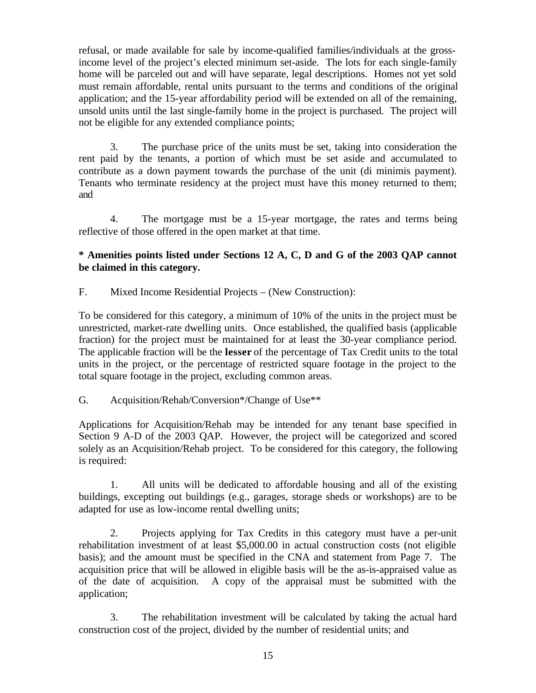refusal, or made available for sale by income-qualified families/individuals at the grossincome level of the project's elected minimum set-aside. The lots for each single-family home will be parceled out and will have separate, legal descriptions. Homes not yet sold must remain affordable, rental units pursuant to the terms and conditions of the original application; and the 15-year affordability period will be extended on all of the remaining, unsold units until the last single-family home in the project is purchased. The project will not be eligible for any extended compliance points;

3. The purchase price of the units must be set, taking into consideration the rent paid by the tenants, a portion of which must be set aside and accumulated to contribute as a down payment towards the purchase of the unit (di minimis payment). Tenants who terminate residency at the project must have this money returned to them; and

4. The mortgage must be a 15-year mortgage, the rates and terms being reflective of those offered in the open market at that time.

# **\* Amenities points listed under Sections 12 A, C, D and G of the 2003 QAP cannot be claimed in this category.**

F. Mixed Income Residential Projects – (New Construction):

To be considered for this category, a minimum of 10% of the units in the project must be unrestricted, market-rate dwelling units. Once established, the qualified basis (applicable fraction) for the project must be maintained for at least the 30-year compliance period. The applicable fraction will be the **lesser** of the percentage of Tax Credit units to the total units in the project, or the percentage of restricted square footage in the project to the total square footage in the project, excluding common areas.

G. Acquisition/Rehab/Conversion\*/Change of Use\*\*

Applications for Acquisition/Rehab may be intended for any tenant base specified in Section 9 A-D of the 2003 QAP. However, the project will be categorized and scored solely as an Acquisition/Rehab project. To be considered for this category, the following is required:

1. All units will be dedicated to affordable housing and all of the existing buildings, excepting out buildings (e.g., garages, storage sheds or workshops) are to be adapted for use as low-income rental dwelling units;

2. Projects applying for Tax Credits in this category must have a per-unit rehabilitation investment of at least \$5,000.00 in actual construction costs (not eligible basis); and the amount must be specified in the CNA and statement from Page 7. The acquisition price that will be allowed in eligible basis will be the as-is-appraised value as of the date of acquisition. A copy of the appraisal must be submitted with the application;

3. The rehabilitation investment will be calculated by taking the actual hard construction cost of the project, divided by the number of residential units; and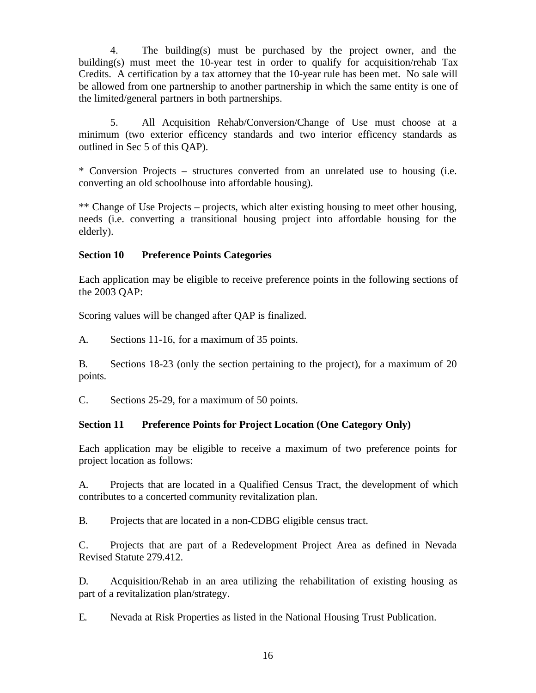4. The building(s) must be purchased by the project owner, and the building(s) must meet the 10-year test in order to qualify for acquisition/rehab Tax Credits. A certification by a tax attorney that the 10-year rule has been met. No sale will be allowed from one partnership to another partnership in which the same entity is one of the limited/general partners in both partnerships.

5. All Acquisition Rehab/Conversion/Change of Use must choose at a minimum (two exterior efficency standards and two interior efficency standards as outlined in Sec 5 of this QAP).

\* Conversion Projects – structures converted from an unrelated use to housing (i.e. converting an old schoolhouse into affordable housing).

\*\* Change of Use Projects – projects, which alter existing housing to meet other housing, needs (i.e. converting a transitional housing project into affordable housing for the elderly).

## **Section 10 Preference Points Categories**

Each application may be eligible to receive preference points in the following sections of the 2003 QAP:

Scoring values will be changed after QAP is finalized.

A. Sections 11-16, for a maximum of 35 points.

B. Sections 18-23 (only the section pertaining to the project), for a maximum of 20 points.

C. Sections 25-29, for a maximum of 50 points.

# **Section 11 Preference Points for Project Location (One Category Only)**

Each application may be eligible to receive a maximum of two preference points for project location as follows:

A. Projects that are located in a Qualified Census Tract, the development of which contributes to a concerted community revitalization plan.

B. Projects that are located in a non-CDBG eligible census tract.

C. Projects that are part of a Redevelopment Project Area as defined in Nevada Revised Statute 279.412.

D. Acquisition/Rehab in an area utilizing the rehabilitation of existing housing as part of a revitalization plan/strategy.

E. Nevada at Risk Properties as listed in the National Housing Trust Publication.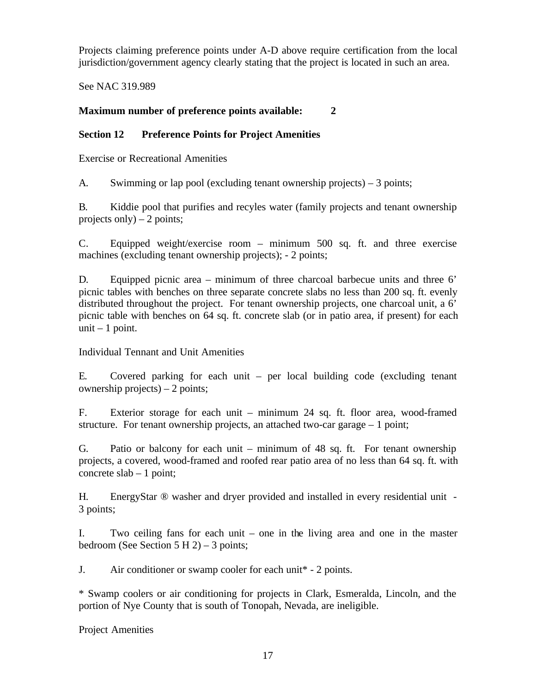Projects claiming preference points under A-D above require certification from the local jurisdiction/government agency clearly stating that the project is located in such an area.

See NAC 319.989

# **Maximum number of preference points available: 2**

# **Section 12 Preference Points for Project Amenities**

Exercise or Recreational Amenities

A. Swimming or lap pool (excluding tenant ownership projects) – 3 points;

B. Kiddie pool that purifies and recyles water (family projects and tenant ownership projects only)  $-2$  points;

C. Equipped weight/exercise room – minimum 500 sq. ft. and three exercise machines (excluding tenant ownership projects); - 2 points;

D. Equipped picnic area – minimum of three charcoal barbecue units and three 6' picnic tables with benches on three separate concrete slabs no less than 200 sq. ft. evenly distributed throughout the project. For tenant ownership projects, one charcoal unit, a 6' picnic table with benches on 64 sq. ft. concrete slab (or in patio area, if present) for each unit  $-1$  point.

Individual Tennant and Unit Amenities

E. Covered parking for each unit – per local building code (excluding tenant ownership projects) – 2 points;

F. Exterior storage for each unit – minimum 24 sq. ft. floor area, wood-framed structure. For tenant ownership projects, an attached two-car garage – 1 point;

G. Patio or balcony for each unit – minimum of 48 sq. ft. For tenant ownership projects, a covered, wood-framed and roofed rear patio area of no less than 64 sq. ft. with concrete  $slab - 1$  point;

H. EnergyStar ® washer and dryer provided and installed in every residential unit - 3 points;

I. Two ceiling fans for each unit – one in the living area and one in the master bedroom (See Section  $5 H 2$ ) – 3 points;

J. Air conditioner or swamp cooler for each unit\* - 2 points.

\* Swamp coolers or air conditioning for projects in Clark, Esmeralda, Lincoln, and the portion of Nye County that is south of Tonopah, Nevada, are ineligible.

Project Amenities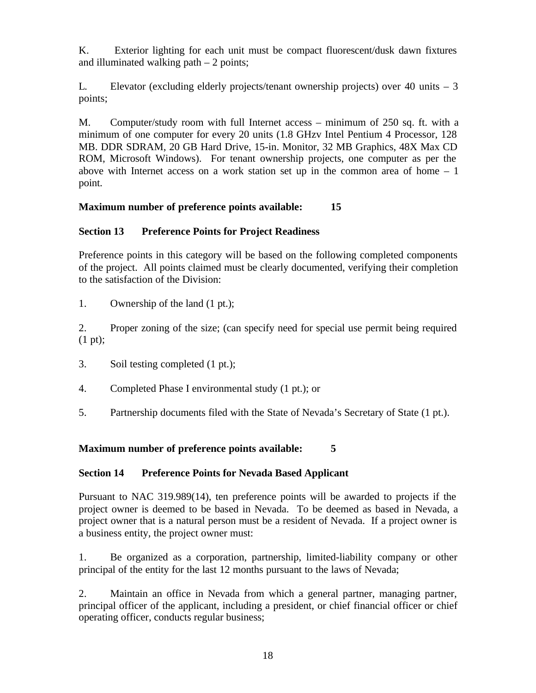K. Exterior lighting for each unit must be compact fluorescent/dusk dawn fixtures and illuminated walking path  $-2$  points;

L. Elevator (excluding elderly projects/tenant ownership projects) over 40 units – 3 points;

M. Computer/study room with full Internet access – minimum of 250 sq. ft. with a minimum of one computer for every 20 units (1.8 GHzv Intel Pentium 4 Processor, 128 MB. DDR SDRAM, 20 GB Hard Drive, 15-in. Monitor, 32 MB Graphics, 48X Max CD ROM, Microsoft Windows). For tenant ownership projects, one computer as per the above with Internet access on a work station set up in the common area of home  $-1$ point.

# **Maximum number of preference points available: 15**

# **Section 13 Preference Points for Project Readiness**

Preference points in this category will be based on the following completed components of the project. All points claimed must be clearly documented, verifying their completion to the satisfaction of the Division:

1. Ownership of the land (1 pt.);

2. Proper zoning of the size; (can specify need for special use permit being required (1 pt);

- 3. Soil testing completed (1 pt.);
- 4. Completed Phase I environmental study (1 pt.); or
- 5. Partnership documents filed with the State of Nevada's Secretary of State (1 pt.).

**Maximum number of preference points available: 5**

# **Section 14 Preference Points for Nevada Based Applicant**

Pursuant to NAC 319.989(14), ten preference points will be awarded to projects if the project owner is deemed to be based in Nevada. To be deemed as based in Nevada, a project owner that is a natural person must be a resident of Nevada. If a project owner is a business entity, the project owner must:

1. Be organized as a corporation, partnership, limited-liability company or other principal of the entity for the last 12 months pursuant to the laws of Nevada;

2. Maintain an office in Nevada from which a general partner, managing partner, principal officer of the applicant, including a president, or chief financial officer or chief operating officer, conducts regular business;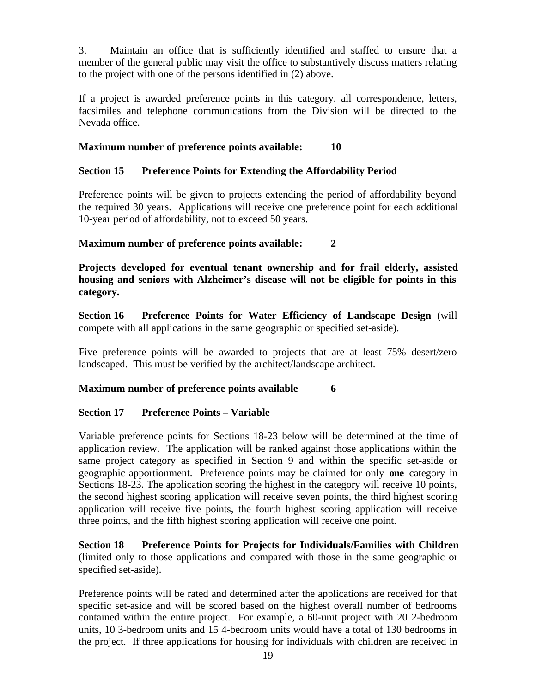3. Maintain an office that is sufficiently identified and staffed to ensure that a member of the general public may visit the office to substantively discuss matters relating to the project with one of the persons identified in (2) above.

If a project is awarded preference points in this category, all correspondence, letters, facsimiles and telephone communications from the Division will be directed to the Nevada office.

# **Maximum number of preference points available: 10**

# **Section 15 Preference Points for Extending the Affordability Period**

Preference points will be given to projects extending the period of affordability beyond the required 30 years. Applications will receive one preference point for each additional 10-year period of affordability, not to exceed 50 years.

# **Maximum number of preference points available: 2**

**Projects developed for eventual tenant ownership and for frail elderly, assisted housing and seniors with Alzheimer's disease will not be eligible for points in this category.**

**Section 16 Preference Points for Water Efficiency of Landscape Design** (will compete with all applications in the same geographic or specified set-aside).

Five preference points will be awarded to projects that are at least 75% desert/zero landscaped. This must be verified by the architect/landscape architect.

# **Maximum number of preference points available 6**

# **Section 17 Preference Points – Variable**

Variable preference points for Sections 18-23 below will be determined at the time of application review. The application will be ranked against those applications within the same project category as specified in Section 9 and within the specific set-aside or geographic apportionment. Preference points may be claimed for only **one** category in Sections 18-23. The application scoring the highest in the category will receive 10 points, the second highest scoring application will receive seven points, the third highest scoring application will receive five points, the fourth highest scoring application will receive three points, and the fifth highest scoring application will receive one point.

**Section 18 Preference Points for Projects for Individuals/Families with Children** (limited only to those applications and compared with those in the same geographic or specified set-aside).

Preference points will be rated and determined after the applications are received for that specific set-aside and will be scored based on the highest overall number of bedrooms contained within the entire project. For example, a 60-unit project with 20 2-bedroom units, 10 3-bedroom units and 15 4-bedroom units would have a total of 130 bedrooms in the project. If three applications for housing for individuals with children are received in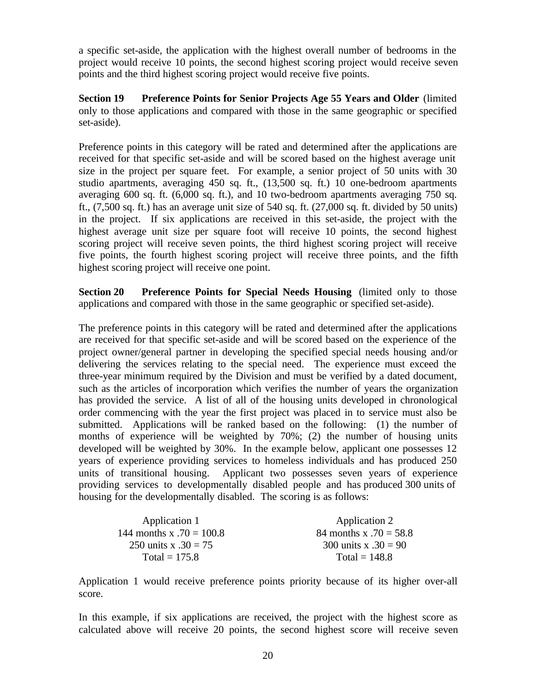a specific set-aside, the application with the highest overall number of bedrooms in the project would receive 10 points, the second highest scoring project would receive seven points and the third highest scoring project would receive five points.

**Section 19 Preference Points for Senior Projects Age 55 Years and Older** (limited only to those applications and compared with those in the same geographic or specified set-aside).

Preference points in this category will be rated and determined after the applications are received for that specific set-aside and will be scored based on the highest average unit size in the project per square feet. For example, a senior project of 50 units with 30 studio apartments, averaging 450 sq. ft., (13,500 sq. ft.) 10 one-bedroom apartments averaging 600 sq. ft. (6,000 sq. ft.), and 10 two-bedroom apartments averaging 750 sq. ft., (7,500 sq. ft.) has an average unit size of 540 sq. ft. (27,000 sq. ft. divided by 50 units) in the project. If six applications are received in this set-aside, the project with the highest average unit size per square foot will receive 10 points, the second highest scoring project will receive seven points, the third highest scoring project will receive five points, the fourth highest scoring project will receive three points, and the fifth highest scoring project will receive one point.

**Section 20 Preference Points for Special Needs Housing** (limited only to those applications and compared with those in the same geographic or specified set-aside).

The preference points in this category will be rated and determined after the applications are received for that specific set-aside and will be scored based on the experience of the project owner/general partner in developing the specified special needs housing and/or delivering the services relating to the special need. The experience must exceed the three-year minimum required by the Division and must be verified by a dated document, such as the articles of incorporation which verifies the number of years the organization has provided the service. A list of all of the housing units developed in chronological order commencing with the year the first project was placed in to service must also be submitted. Applications will be ranked based on the following: (1) the number of months of experience will be weighted by 70%; (2) the number of housing units developed will be weighted by 30%. In the example below, applicant one possesses 12 years of experience providing services to homeless individuals and has produced 250 units of transitional housing. Applicant two possesses seven years of experience providing services to developmentally disabled people and has produced 300 units of housing for the developmentally disabled. The scoring is as follows:

| Application 1              | Application 2            |
|----------------------------|--------------------------|
| 144 months x $.70 = 100.8$ | 84 months x $.70 = 58.8$ |
| 250 units x $.30 = 75$     | 300 units x $.30 = 90$   |
| Total = $175.8$            | Total = $148.8$          |

Application 1 would receive preference points priority because of its higher over-all score.

In this example, if six applications are received, the project with the highest score as calculated above will receive 20 points, the second highest score will receive seven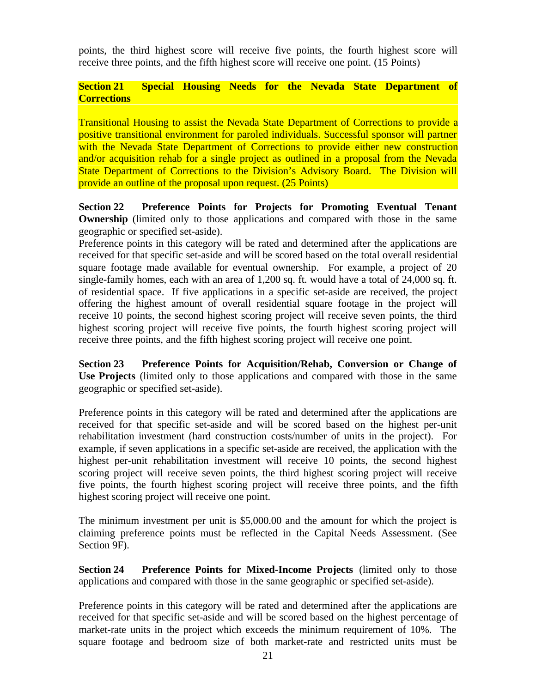points, the third highest score will receive five points, the fourth highest score will receive three points, and the fifth highest score will receive one point. (15 Points)

### **Section 21 Special Housing Needs for the Nevada State Department of Corrections**

Transitional Housing to assist the Nevada State Department of Corrections to provide a positive transitional environment for paroled individuals. Successful sponsor will partner with the Nevada State Department of Corrections to provide either new construction and/or acquisition rehab for a single project as outlined in a proposal from the Nevada State Department of Corrections to the Division's Advisory Board. The Division will provide an outline of the proposal upon request. (25 Points)

**Section 22 Preference Points for Projects for Promoting Eventual Tenant Ownership** (limited only to those applications and compared with those in the same geographic or specified set-aside).

Preference points in this category will be rated and determined after the applications are received for that specific set-aside and will be scored based on the total overall residential square footage made available for eventual ownership. For example, a project of 20 single-family homes, each with an area of 1,200 sq. ft. would have a total of 24,000 sq. ft. of residential space. If five applications in a specific set-aside are received, the project offering the highest amount of overall residential square footage in the project will receive 10 points, the second highest scoring project will receive seven points, the third highest scoring project will receive five points, the fourth highest scoring project will receive three points, and the fifth highest scoring project will receive one point.

**Section 23 Preference Points for Acquisition/Rehab, Conversion or Change of Use Projects** (limited only to those applications and compared with those in the same geographic or specified set-aside).

Preference points in this category will be rated and determined after the applications are received for that specific set-aside and will be scored based on the highest per-unit rehabilitation investment (hard construction costs/number of units in the project). For example, if seven applications in a specific set-aside are received, the application with the highest per-unit rehabilitation investment will receive 10 points, the second highest scoring project will receive seven points, the third highest scoring project will receive five points, the fourth highest scoring project will receive three points, and the fifth highest scoring project will receive one point.

The minimum investment per unit is \$5,000.00 and the amount for which the project is claiming preference points must be reflected in the Capital Needs Assessment. (See Section 9F).

**Section 24 Preference Points for Mixed-Income Projects** (limited only to those applications and compared with those in the same geographic or specified set-aside).

Preference points in this category will be rated and determined after the applications are received for that specific set-aside and will be scored based on the highest percentage of market-rate units in the project which exceeds the minimum requirement of 10%. The square footage and bedroom size of both market-rate and restricted units must be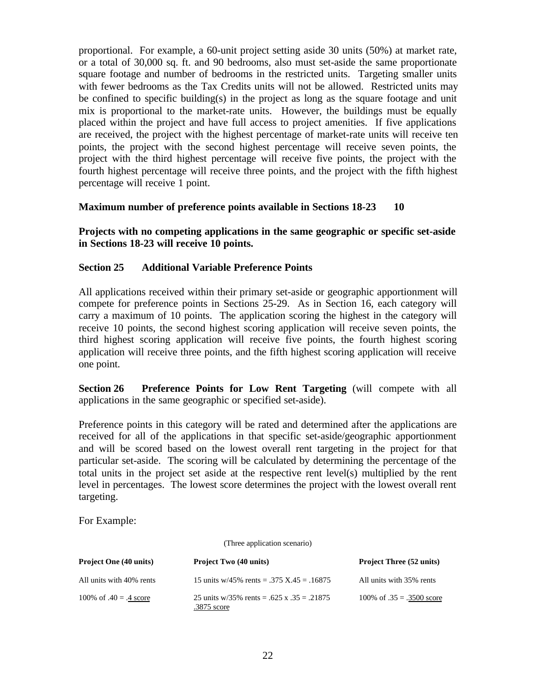proportional. For example, a 60-unit project setting aside 30 units (50%) at market rate, or a total of 30,000 sq. ft. and 90 bedrooms, also must set-aside the same proportionate square footage and number of bedrooms in the restricted units. Targeting smaller units with fewer bedrooms as the Tax Credits units will not be allowed. Restricted units may be confined to specific building(s) in the project as long as the square footage and unit mix is proportional to the market-rate units. However, the buildings must be equally placed within the project and have full access to project amenities. If five applications are received, the project with the highest percentage of market-rate units will receive ten points, the project with the second highest percentage will receive seven points, the project with the third highest percentage will receive five points, the project with the fourth highest percentage will receive three points, and the project with the fifth highest percentage will receive 1 point.

#### **Maximum number of preference points available in Sections 18-23 10**

### **Projects with no competing applications in the same geographic or specific set-aside in Sections 18-23 will receive 10 points.**

## **Section 25 Additional Variable Preference Points**

All applications received within their primary set-aside or geographic apportionment will compete for preference points in Sections 25-29. As in Section 16, each category will carry a maximum of 10 points. The application scoring the highest in the category will receive 10 points, the second highest scoring application will receive seven points, the third highest scoring application will receive five points, the fourth highest scoring application will receive three points, and the fifth highest scoring application will receive one point.

**Section 26 Preference Points for Low Rent Targeting** (will compete with all applications in the same geographic or specified set-aside).

Preference points in this category will be rated and determined after the applications are received for all of the applications in that specific set-aside/geographic apportionment and will be scored based on the lowest overall rent targeting in the project for that particular set-aside. The scoring will be calculated by determining the percentage of the total units in the project set aside at the respective rent level(s) multiplied by the rent level in percentages. The lowest score determines the project with the lowest overall rent targeting.

For Example:

(Three application scenario)

| <b>Project One (40 units)</b> | <b>Project Two (40 units)</b>                             | <b>Project Three (52 units)</b> |
|-------------------------------|-----------------------------------------------------------|---------------------------------|
| All units with 40% rents      | 15 units w/45% rents = .375 X.45 = .16875                 | All units with 35% rents        |
| 100\% of $.40 = .4$ score     | 25 units w/35% rents = .625 x .35 = .21875<br>.3875 score | 100\% of $.35 = .3500$ score    |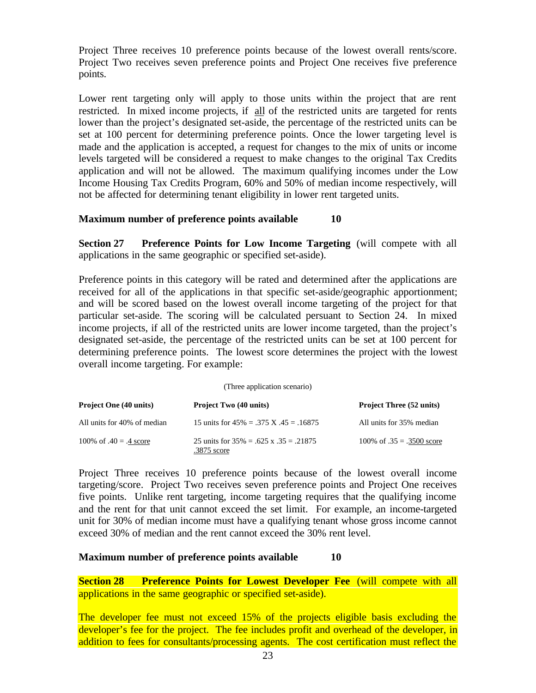Project Three receives 10 preference points because of the lowest overall rents/score. Project Two receives seven preference points and Project One receives five preference points.

Lower rent targeting only will apply to those units within the project that are rent restricted. In mixed income projects, if all of the restricted units are targeted for rents lower than the project's designated set-aside, the percentage of the restricted units can be set at 100 percent for determining preference points. Once the lower targeting level is made and the application is accepted, a request for changes to the mix of units or income levels targeted will be considered a request to make changes to the original Tax Credits application and will not be allowed. The maximum qualifying incomes under the Low Income Housing Tax Credits Program, 60% and 50% of median income respectively, will not be affected for determining tenant eligibility in lower rent targeted units.

## **Maximum number of preference points available 10**

**Section 27 Preference Points for Low Income Targeting** (will compete with all applications in the same geographic or specified set-aside).

Preference points in this category will be rated and determined after the applications are received for all of the applications in that specific set-aside/geographic apportionment; and will be scored based on the lowest overall income targeting of the project for that particular set-aside. The scoring will be calculated persuant to Section 24. In mixed income projects, if all of the restricted units are lower income targeted, than the project's designated set-aside, the percentage of the restricted units can be set at 100 percent for determining preference points. The lowest score determines the project with the lowest overall income targeting. For example:

| <b>Project One (40 units)</b> | <b>Project Two (40 units)</b>                              | <b>Project Three (52 units)</b> |
|-------------------------------|------------------------------------------------------------|---------------------------------|
| All units for 40% of median   | 15 units for $45\% = .375$ X $.45 = .16875$                | All units for 35% median        |
| 100\% of $.40 = .4$ score     | 25 units for $35\% = .625$ x $.35 = .21875$<br>.3875 score | 100\% of $.35 = .3500$ score    |

(Three application scenario)

Project Three receives 10 preference points because of the lowest overall income targeting/score. Project Two receives seven preference points and Project One receives five points. Unlike rent targeting, income targeting requires that the qualifying income and the rent for that unit cannot exceed the set limit. For example, an income-targeted unit for 30% of median income must have a qualifying tenant whose gross income cannot exceed 30% of median and the rent cannot exceed the 30% rent level.

#### **Maximum number of preference points available 10**

**Section 28 Preference Points for Lowest Developer Fee** (will compete with all applications in the same geographic or specified set-aside).

The developer fee must not exceed 15% of the projects eligible basis excluding the developer's fee for the project. The fee includes profit and overhead of the developer, in addition to fees for consultants/processing agents. The cost certification must reflect the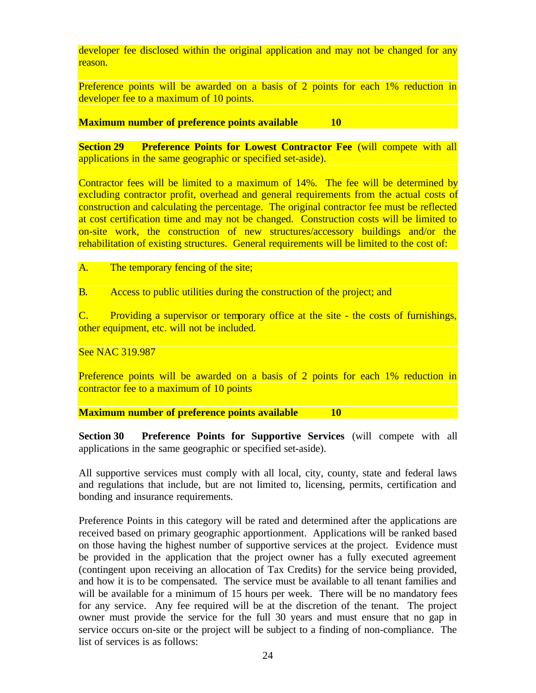developer fee disclosed within the original application and may not be changed for any reason.

Preference points will be awarded on a basis of 2 points for each 1% reduction in developer fee to a maximum of 10 points.

#### **Maximum number of preference points available 10**

**Section 29 •• Preference Points for Lowest Contractor Fee (will compete with all** applications in the same geographic or specified set-aside).

Contractor fees will be limited to a maximum of 14%. The fee will be determined by excluding contractor profit, overhead and general requirements from the actual costs of construction and calculating the percentage. The original contractor fee must be reflected at cost certification time and may not be changed. Construction costs will be limited to on-site work, the construction of new structures/accessory buildings and/or the rehabilitation of existing structures. General requirements will be limited to the cost of:

A. The temporary fencing of the site;

B. Access to public utilities during the construction of the project; and

C. Providing a supervisor or temporary office at the site - the costs of furnishings, other equipment, etc. will not be included.

See NAC 319.987

Preference points will be awarded on a basis of 2 points for each 1% reduction in contractor fee to a maximum of 10 points

**Maximum number of preference points available 10**

**Section 30 Preference Points for Supportive Services** (will compete with all applications in the same geographic or specified set-aside).

All supportive services must comply with all local, city, county, state and federal laws and regulations that include, but are not limited to, licensing, permits, certification and bonding and insurance requirements.

Preference Points in this category will be rated and determined after the applications are received based on primary geographic apportionment. Applications will be ranked based on those having the highest number of supportive services at the project. Evidence must be provided in the application that the project owner has a fully executed agreement (contingent upon receiving an allocation of Tax Credits) for the service being provided, and how it is to be compensated. The service must be available to all tenant families and will be available for a minimum of 15 hours per week. There will be no mandatory fees for any service. Any fee required will be at the discretion of the tenant. The project owner must provide the service for the full 30 years and must ensure that no gap in service occurs on-site or the project will be subject to a finding of non-compliance. The list of services is as follows: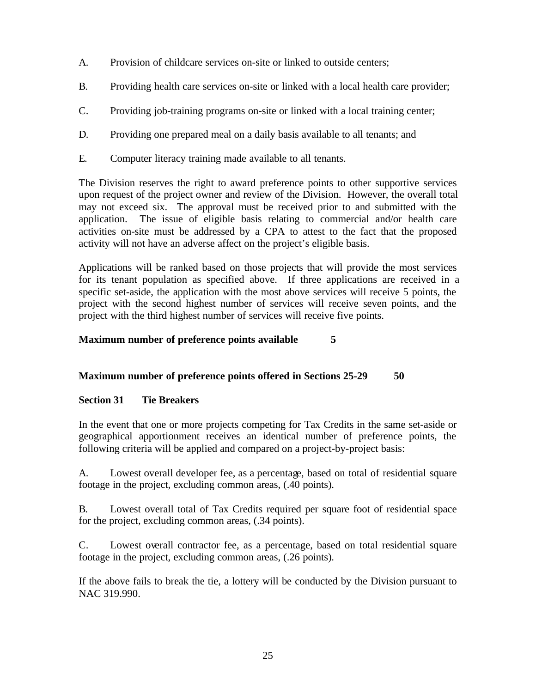- A. Provision of childcare services on-site or linked to outside centers;
- B. Providing health care services on-site or linked with a local health care provider;
- C. Providing job-training programs on-site or linked with a local training center;
- D. Providing one prepared meal on a daily basis available to all tenants; and
- E. Computer literacy training made available to all tenants.

The Division reserves the right to award preference points to other supportive services upon request of the project owner and review of the Division. However, the overall total may not exceed six. The approval must be received prior to and submitted with the application. The issue of eligible basis relating to commercial and/or health care activities on-site must be addressed by a CPA to attest to the fact that the proposed activity will not have an adverse affect on the project's eligible basis.

Applications will be ranked based on those projects that will provide the most services for its tenant population as specified above. If three applications are received in a specific set-aside, the application with the most above services will receive 5 points, the project with the second highest number of services will receive seven points, and the project with the third highest number of services will receive five points.

# **Maximum number of preference points available 5**

# **Maximum number of preference points offered in Sections 25-29 50**

# **Section 31 Tie Breakers**

In the event that one or more projects competing for Tax Credits in the same set-aside or geographical apportionment receives an identical number of preference points, the following criteria will be applied and compared on a project-by-project basis:

A. Lowest overall developer fee, as a percentage, based on total of residential square footage in the project, excluding common areas, (.40 points).

B. Lowest overall total of Tax Credits required per square foot of residential space for the project, excluding common areas, (.34 points).

C. Lowest overall contractor fee, as a percentage, based on total residential square footage in the project, excluding common areas, (.26 points).

If the above fails to break the tie, a lottery will be conducted by the Division pursuant to NAC 319.990.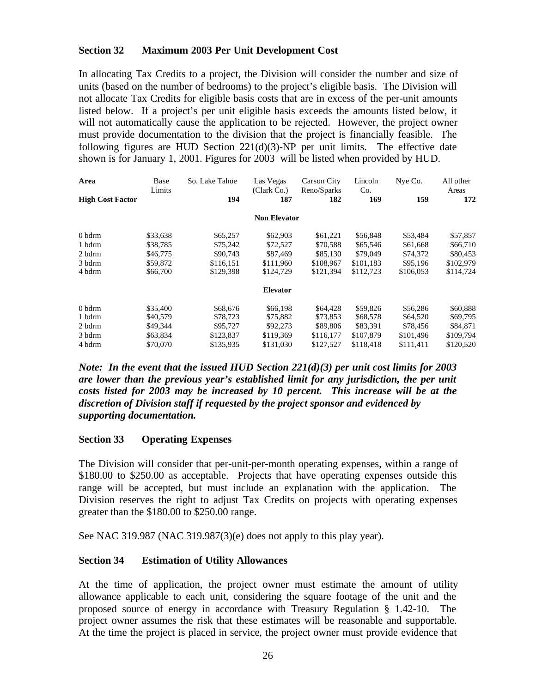# **Section 32 Maximum 2003 Per Unit Development Cost**

In allocating Tax Credits to a project, the Division will consider the number and size of units (based on the number of bedrooms) to the project's eligible basis. The Division will not allocate Tax Credits for eligible basis costs that are in excess of the per-unit amounts listed below. If a project's per unit eligible basis exceeds the amounts listed below, it will not automatically cause the application to be rejected. However, the project owner must provide documentation to the division that the project is financially feasible. The following figures are HUD Section  $221(d)(3)$ -NP per unit limits. The effective date shown is for January 1, 2001. Figures for 2003 will be listed when provided by HUD.

| Area                    | Base<br>Limits | So. Lake Tahoe | Las Vegas<br>(Clark Co.) | Carson City<br>Reno/Sparks | Lincoln<br>Co. | Nye Co.   | All other<br>Areas |
|-------------------------|----------------|----------------|--------------------------|----------------------------|----------------|-----------|--------------------|
| <b>High Cost Factor</b> |                | 194            | 187                      | 182                        | 169            | 159       | 172                |
|                         |                |                | <b>Non Elevator</b>      |                            |                |           |                    |
| 0 bdrm                  | \$33,638       | \$65,257       | \$62,903                 | \$61,221                   | \$56,848       | \$53,484  | \$57,857           |
| 1 bdrm                  | \$38,785       | \$75,242       | \$72,527                 | \$70,588                   | \$65,546       | \$61,668  | \$66,710           |
| 2 bdrm                  | \$46,775       | \$90,743       | \$87,469                 | \$85,130                   | \$79,049       | \$74,372  | \$80,453           |
| 3 bdrm                  | \$59,872       | \$116.151      | \$111.960                | \$108,967                  | \$101.183      | \$95,196  | \$102,979          |
| 4 bdrm                  | \$66,700       | \$129,398      | \$124,729                | \$121,394                  | \$112,723      | \$106,053 | \$114,724          |
|                         |                |                | <b>Elevator</b>          |                            |                |           |                    |
| 0 bdrm                  | \$35,400       | \$68,676       | \$66,198                 | \$64,428                   | \$59,826       | \$56,286  | \$60,888           |
| 1 bdrm                  | \$40,579       | \$78,723       | \$75,882                 | \$73,853                   | \$68,578       | \$64,520  | \$69,795           |
| 2 bdrm                  | \$49,344       | \$95,727       | \$92,273                 | \$89,806                   | \$83,391       | \$78,456  | \$84,871           |
| 3 bdrm                  | \$63,834       | \$123,837      | \$119.369                | \$116,177                  | \$107,879      | \$101,496 | \$109,794          |
| 4 bdrm                  | \$70,070       | \$135.935      | \$131,030                | \$127.527                  | \$118.418      | \$111.411 | \$120,520          |

*Note: In the event that the issued HUD Section 221(d)(3) per unit cost limits for 2003 are lower than the previous year's established limit for any jurisdiction, the per unit costs listed for 2003 may be increased by 10 percent. This increase will be at the discretion of Division staff if requested by the project sponsor and evidenced by supporting documentation.*

#### **Section 33 Operating Expenses**

The Division will consider that per-unit-per-month operating expenses, within a range of \$180.00 to \$250.00 as acceptable. Projects that have operating expenses outside this range will be accepted, but must include an explanation with the application. The Division reserves the right to adjust Tax Credits on projects with operating expenses greater than the \$180.00 to \$250.00 range.

See NAC 319.987 (NAC 319.987(3)(e) does not apply to this play year).

#### **Section 34 Estimation of Utility Allowances**

At the time of application, the project owner must estimate the amount of utility allowance applicable to each unit, considering the square footage of the unit and the proposed source of energy in accordance with Treasury Regulation § 1.42-10. The project owner assumes the risk that these estimates will be reasonable and supportable. At the time the project is placed in service, the project owner must provide evidence that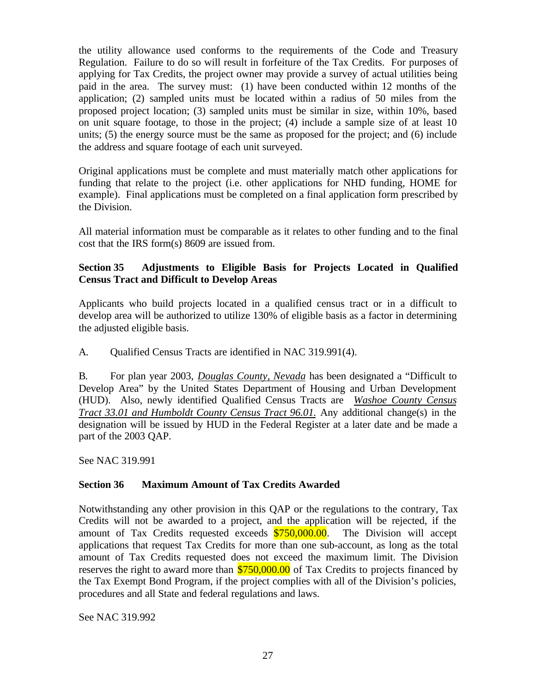the utility allowance used conforms to the requirements of the Code and Treasury Regulation. Failure to do so will result in forfeiture of the Tax Credits. For purposes of applying for Tax Credits, the project owner may provide a survey of actual utilities being paid in the area. The survey must: (1) have been conducted within 12 months of the application; (2) sampled units must be located within a radius of 50 miles from the proposed project location; (3) sampled units must be similar in size, within 10%, based on unit square footage, to those in the project; (4) include a sample size of at least 10 units; (5) the energy source must be the same as proposed for the project; and (6) include the address and square footage of each unit surveyed.

Original applications must be complete and must materially match other applications for funding that relate to the project (i.e. other applications for NHD funding, HOME for example). Final applications must be completed on a final application form prescribed by the Division.

All material information must be comparable as it relates to other funding and to the final cost that the IRS form(s) 8609 are issued from.

# **Section 35 Adjustments to Eligible Basis for Projects Located in Qualified Census Tract and Difficult to Develop Areas**

Applicants who build projects located in a qualified census tract or in a difficult to develop area will be authorized to utilize 130% of eligible basis as a factor in determining the adjusted eligible basis.

A. Qualified Census Tracts are identified in NAC 319.991(4).

B. For plan year 2003, *Douglas County, Nevada* has been designated a "Difficult to Develop Area" by the United States Department of Housing and Urban Development (HUD). Also, newly identified Qualified Census Tracts are *Washoe County Census Tract 33.01 and Humboldt County Census Tract 96.01.* Any additional change(s) in the designation will be issued by HUD in the Federal Register at a later date and be made a part of the 2003 QAP.

See NAC 319.991

# **Section 36 Maximum Amount of Tax Credits Awarded**

Notwithstanding any other provision in this QAP or the regulations to the contrary, Tax Credits will not be awarded to a project, and the application will be rejected, if the amount of Tax Credits requested exceeds  $$750,000.00$ . The Division will accept applications that request Tax Credits for more than one sub-account, as long as the total amount of Tax Credits requested does not exceed the maximum limit. The Division reserves the right to award more than  $$750,000.00$  of Tax Credits to projects financed by the Tax Exempt Bond Program, if the project complies with all of the Division's policies, procedures and all State and federal regulations and laws.

See NAC 319.992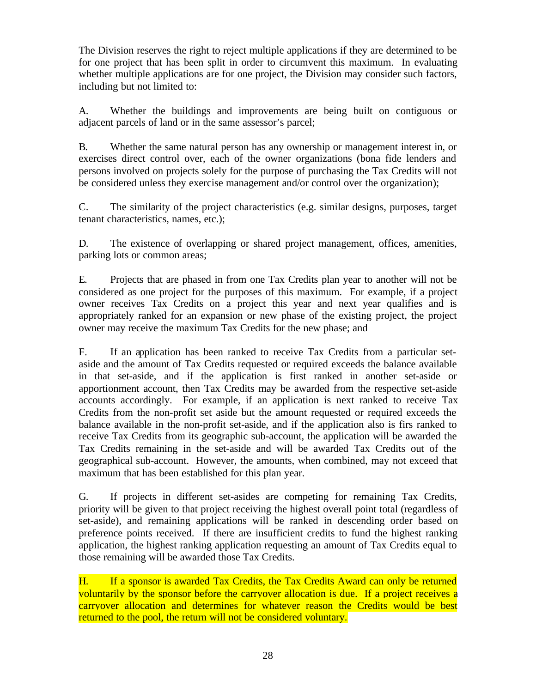The Division reserves the right to reject multiple applications if they are determined to be for one project that has been split in order to circumvent this maximum. In evaluating whether multiple applications are for one project, the Division may consider such factors, including but not limited to:

A. Whether the buildings and improvements are being built on contiguous or adjacent parcels of land or in the same assessor's parcel;

B. Whether the same natural person has any ownership or management interest in, or exercises direct control over, each of the owner organizations (bona fide lenders and persons involved on projects solely for the purpose of purchasing the Tax Credits will not be considered unless they exercise management and/or control over the organization);

C. The similarity of the project characteristics (e.g. similar designs, purposes, target tenant characteristics, names, etc.);

D. The existence of overlapping or shared project management, offices, amenities, parking lots or common areas;

E. Projects that are phased in from one Tax Credits plan year to another will not be considered as one project for the purposes of this maximum. For example, if a project owner receives Tax Credits on a project this year and next year qualifies and is appropriately ranked for an expansion or new phase of the existing project, the project owner may receive the maximum Tax Credits for the new phase; and

F. If an application has been ranked to receive Tax Credits from a particular setaside and the amount of Tax Credits requested or required exceeds the balance available in that set-aside, and if the application is first ranked in another set-aside or apportionment account, then Tax Credits may be awarded from the respective set-aside accounts accordingly. For example, if an application is next ranked to receive Tax Credits from the non-profit set aside but the amount requested or required exceeds the balance available in the non-profit set-aside, and if the application also is firs ranked to receive Tax Credits from its geographic sub-account, the application will be awarded the Tax Credits remaining in the set-aside and will be awarded Tax Credits out of the geographical sub-account. However, the amounts, when combined, may not exceed that maximum that has been established for this plan year.

G. If projects in different set-asides are competing for remaining Tax Credits, priority will be given to that project receiving the highest overall point total (regardless of set-aside), and remaining applications will be ranked in descending order based on preference points received. If there are insufficient credits to fund the highest ranking application, the highest ranking application requesting an amount of Tax Credits equal to those remaining will be awarded those Tax Credits.

H. If a sponsor is awarded Tax Credits, the Tax Credits Award can only be returned voluntarily by the sponsor before the carryover allocation is due. If a project receives a carryover allocation and determines for whatever reason the Credits would be best returned to the pool, the return will not be considered voluntary.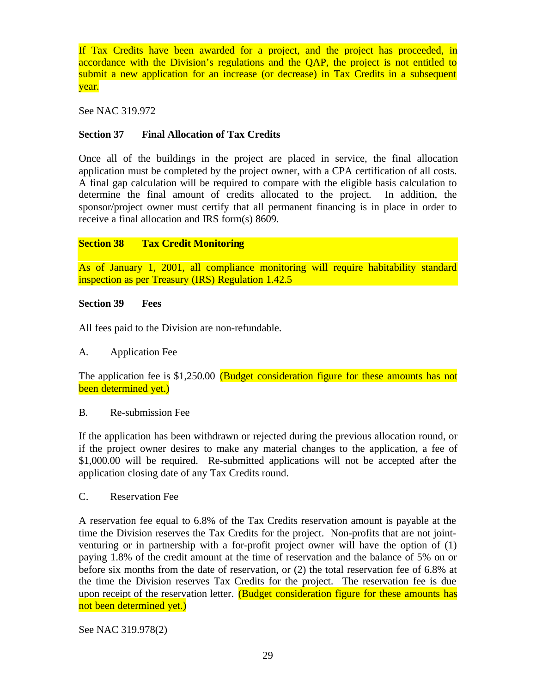If Tax Credits have been awarded for a project, and the project has proceeded, in accordance with the Division's regulations and the QAP, the project is not entitled to submit a new application for an increase (or decrease) in Tax Credits in a subsequent year.

See NAC 319.972

# **Section 37 Final Allocation of Tax Credits**

Once all of the buildings in the project are placed in service, the final allocation application must be completed by the project owner, with a CPA certification of all costs. A final gap calculation will be required to compare with the eligible basis calculation to determine the final amount of credits allocated to the project. In addition, the sponsor/project owner must certify that all permanent financing is in place in order to receive a final allocation and IRS form(s) 8609.

# **Section 38 Tax Credit Monitoring**

As of January 1, 2001, all compliance monitoring will require habitability standard inspection as per Treasury (IRS) Regulation 1.42.5

# **Section 39 Fees**

All fees paid to the Division are non-refundable.

# A. Application Fee

The application fee is \$1,250.00 (Budget consideration figure for these amounts has not been determined yet.)

#### B. Re-submission Fee

If the application has been withdrawn or rejected during the previous allocation round, or if the project owner desires to make any material changes to the application, a fee of \$1,000.00 will be required. Re-submitted applications will not be accepted after the application closing date of any Tax Credits round.

#### C. Reservation Fee

A reservation fee equal to 6.8% of the Tax Credits reservation amount is payable at the time the Division reserves the Tax Credits for the project. Non-profits that are not jointventuring or in partnership with a for-profit project owner will have the option of (1) paying 1.8% of the credit amount at the time of reservation and the balance of 5% on or before six months from the date of reservation, or (2) the total reservation fee of 6.8% at the time the Division reserves Tax Credits for the project. The reservation fee is due upon receipt of the reservation letter. (Budget consideration figure for these amounts has not been determined yet.)

See NAC 319.978(2)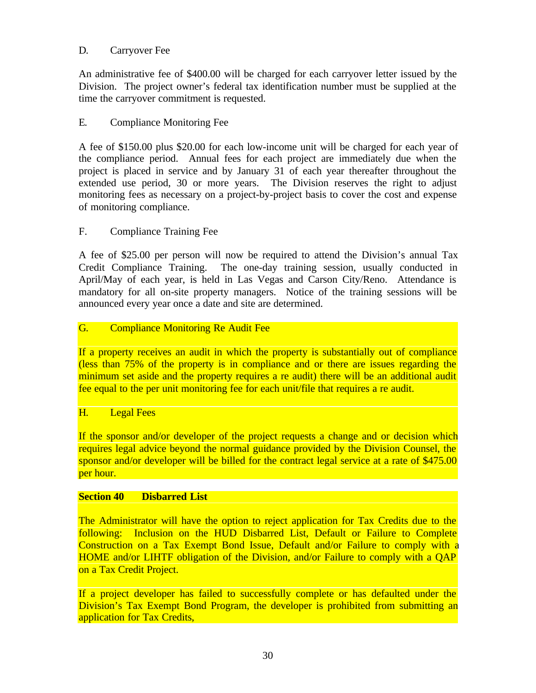# D. Carryover Fee

An administrative fee of \$400.00 will be charged for each carryover letter issued by the Division. The project owner's federal tax identification number must be supplied at the time the carryover commitment is requested.

# E. Compliance Monitoring Fee

A fee of \$150.00 plus \$20.00 for each low-income unit will be charged for each year of the compliance period. Annual fees for each project are immediately due when the project is placed in service and by January 31 of each year thereafter throughout the extended use period, 30 or more years. The Division reserves the right to adjust monitoring fees as necessary on a project-by-project basis to cover the cost and expense of monitoring compliance.

## F. Compliance Training Fee

A fee of \$25.00 per person will now be required to attend the Division's annual Tax Credit Compliance Training. The one-day training session, usually conducted in April/May of each year, is held in Las Vegas and Carson City/Reno. Attendance is mandatory for all on-site property managers. Notice of the training sessions will be announced every year once a date and site are determined.

# G. Compliance Monitoring Re Audit Fee

If a property receives an audit in which the property is substantially out of compliance (less than 75% of the property is in compliance and or there are issues regarding the minimum set aside and the property requires a re audit) there will be an additional audit fee equal to the per unit monitoring fee for each unit/file that requires a re audit.

#### H. Legal Fees

If the sponsor and/or developer of the project requests a change and or decision which requires legal advice beyond the normal guidance provided by the Division Counsel, the sponsor and/or developer will be billed for the contract legal service at a rate of \$475.00 per hour.

#### **Section 40 Disbarred List**

The Administrator will have the option to reject application for Tax Credits due to the following: Inclusion on the HUD Disbarred List, Default or Failure to Complete Construction on a Tax Exempt Bond Issue, Default and/or Failure to comply with a HOME and/or LIHTF obligation of the Division, and/or Failure to comply with a QAP on a Tax Credit Project.

If a project developer has failed to successfully complete or has defaulted under the Division's Tax Exempt Bond Program, the developer is prohibited from submitting an application for Tax Credits,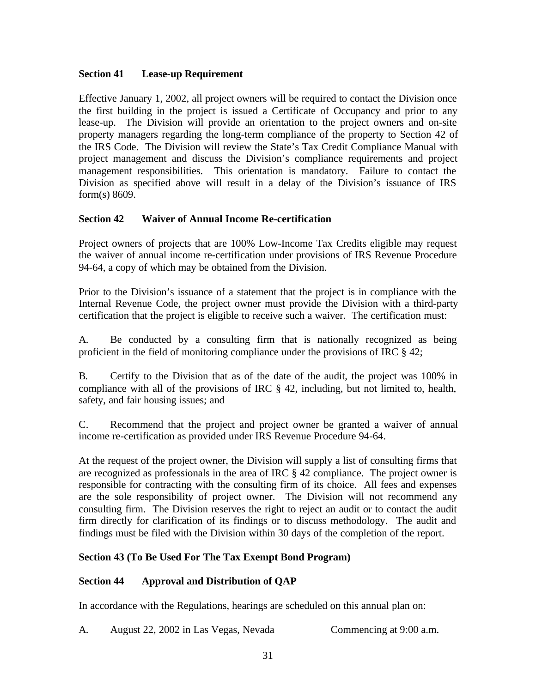# **Section 41 Lease-up Requirement**

Effective January 1, 2002, all project owners will be required to contact the Division once the first building in the project is issued a Certificate of Occupancy and prior to any lease-up. The Division will provide an orientation to the project owners and on-site property managers regarding the long-term compliance of the property to Section 42 of the IRS Code. The Division will review the State's Tax Credit Compliance Manual with project management and discuss the Division's compliance requirements and project management responsibilities. This orientation is mandatory. Failure to contact the Division as specified above will result in a delay of the Division's issuance of IRS form(s) 8609.

## **Section 42 Waiver of Annual Income Re-certification**

Project owners of projects that are 100% Low-Income Tax Credits eligible may request the waiver of annual income re-certification under provisions of IRS Revenue Procedure 94-64, a copy of which may be obtained from the Division.

Prior to the Division's issuance of a statement that the project is in compliance with the Internal Revenue Code, the project owner must provide the Division with a third-party certification that the project is eligible to receive such a waiver. The certification must:

A. Be conducted by a consulting firm that is nationally recognized as being proficient in the field of monitoring compliance under the provisions of IRC § 42;

B. Certify to the Division that as of the date of the audit, the project was 100% in compliance with all of the provisions of IRC § 42, including, but not limited to, health, safety, and fair housing issues; and

C. Recommend that the project and project owner be granted a waiver of annual income re-certification as provided under IRS Revenue Procedure 94-64.

At the request of the project owner, the Division will supply a list of consulting firms that are recognized as professionals in the area of IRC § 42 compliance. The project owner is responsible for contracting with the consulting firm of its choice. All fees and expenses are the sole responsibility of project owner. The Division will not recommend any consulting firm. The Division reserves the right to reject an audit or to contact the audit firm directly for clarification of its findings or to discuss methodology. The audit and findings must be filed with the Division within 30 days of the completion of the report.

# **Section 43 (To Be Used For The Tax Exempt Bond Program)**

# **Section 44 Approval and Distribution of QAP**

In accordance with the Regulations, hearings are scheduled on this annual plan on:

A. August 22, 2002 in Las Vegas, Nevada Commencing at 9:00 a.m.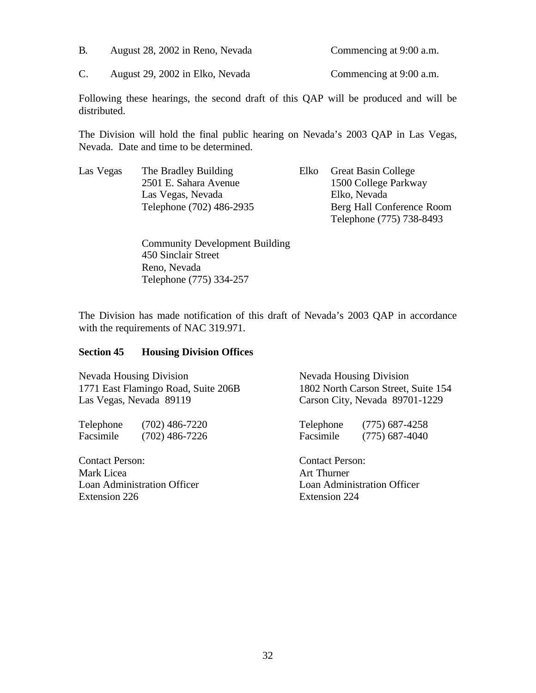| B. | August 28, 2002 in Reno, Nevada | Commencing at 9:00 a.m. |
|----|---------------------------------|-------------------------|
|    |                                 |                         |

C. August 29, 2002 in Elko, Nevada Commencing at 9:00 a.m.

Following these hearings, the second draft of this QAP will be produced and will be distributed.

The Division will hold the final public hearing on Nevada's 2003 QAP in Las Vegas, Nevada. Date and time to be determined.

| Las Vegas | The Bradley Building     | Elko- | <b>Great Basin College</b> |
|-----------|--------------------------|-------|----------------------------|
|           | 2501 E. Sahara Avenue    |       | 1500 College Parkway       |
|           | Las Vegas, Nevada        |       | Elko, Nevada               |
|           | Telephone (702) 486-2935 |       | Berg Hall Conference Room  |
|           |                          |       | Telephone (775) 738-8493   |

Community Development Building 450 Sinclair Street Reno, Nevada Telephone (775) 334-257

The Division has made notification of this draft of Nevada's 2003 QAP in accordance with the requirements of NAC 319.971.

#### **Section 45 Housing Division Offices**

Nevada Housing Division Nevada Housing Division 1771 East Flamingo Road, Suite 206B 1802 North Carson Street, Suite 154 Las Vegas, Nevada 89119 Carson City, Nevada 89701-1229

Telephone (702) 486-7220 Telephone (775) 687-4258 Facsimile (702) 486-7226 Facsimile (775) 687-4040

Contact Person: Contact Person: Mark Licea **Art Thurner** Loan Administration Officer Loan Administration Officer Extension 226 Extension 224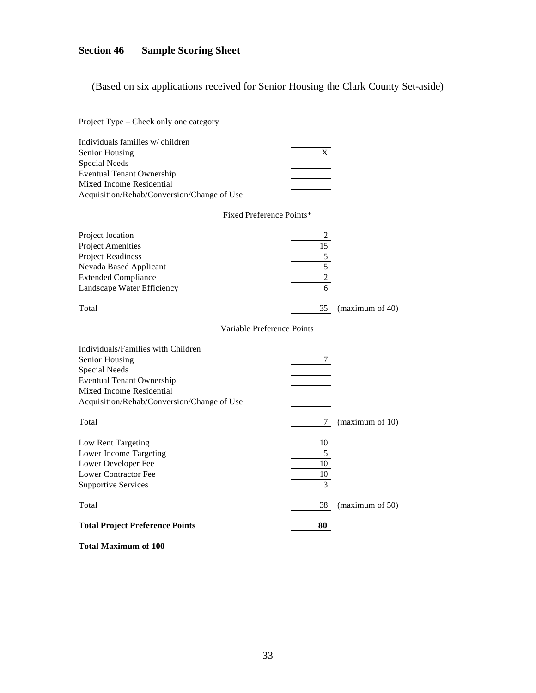# **Section 46 Sample Scoring Sheet**

(Based on six applications received for Senior Housing the Clark County Set-aside)

| Project Type – Check only one category                                                                                                                                                     |                                                                           |                 |
|--------------------------------------------------------------------------------------------------------------------------------------------------------------------------------------------|---------------------------------------------------------------------------|-----------------|
| Individuals families w/children<br>Senior Housing<br><b>Special Needs</b><br><b>Eventual Tenant Ownership</b><br>Mixed Income Residential<br>Acquisition/Rehab/Conversion/Change of Use    | X                                                                         |                 |
| Fixed Preference Points*                                                                                                                                                                   |                                                                           |                 |
| Project location<br><b>Project Amenities</b><br><b>Project Readiness</b><br>Nevada Based Applicant<br><b>Extended Compliance</b><br>Landscape Water Efficiency                             | 2<br>$\overline{15}$<br>$\frac{5}{5}$<br>$\overline{2}$<br>$\overline{6}$ |                 |
| Total                                                                                                                                                                                      | 35                                                                        | (maximum of 40) |
| Variable Preference Points                                                                                                                                                                 |                                                                           |                 |
| Individuals/Families with Children<br>Senior Housing<br><b>Special Needs</b><br><b>Eventual Tenant Ownership</b><br>Mixed Income Residential<br>Acquisition/Rehab/Conversion/Change of Use | 7                                                                         |                 |
| Total                                                                                                                                                                                      | 7                                                                         | (maximum of 10) |
| Low Rent Targeting<br>Lower Income Targeting<br>Lower Developer Fee<br><b>Lower Contractor Fee</b><br><b>Supportive Services</b>                                                           | 10<br>5<br>10<br>10<br>3                                                  |                 |
| Total                                                                                                                                                                                      | 38                                                                        | (maximum of 50) |
| <b>Total Project Preference Points</b>                                                                                                                                                     | 80                                                                        |                 |

**Total Maximum of 100**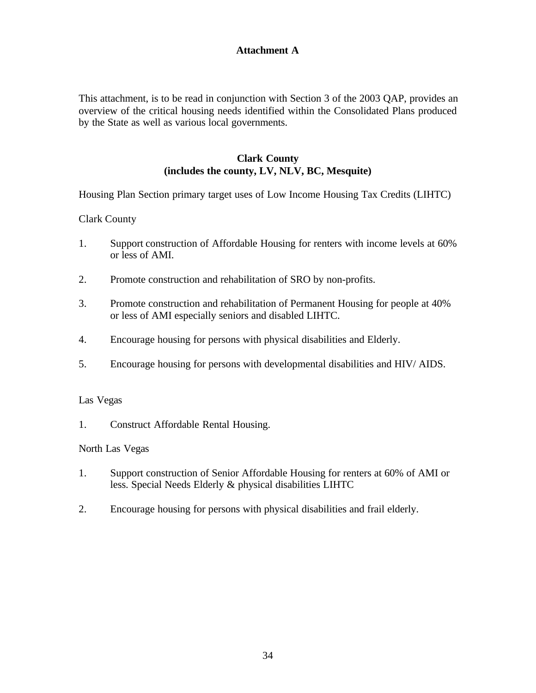# **Attachment A**

This attachment, is to be read in conjunction with Section 3 of the 2003 QAP, provides an overview of the critical housing needs identified within the Consolidated Plans produced by the State as well as various local governments.

# **Clark County (includes the county, LV, NLV, BC, Mesquite)**

Housing Plan Section primary target uses of Low Income Housing Tax Credits (LIHTC)

Clark County

- 1. Support construction of Affordable Housing for renters with income levels at 60% or less of AMI.
- 2. Promote construction and rehabilitation of SRO by non-profits.
- 3. Promote construction and rehabilitation of Permanent Housing for people at 40% or less of AMI especially seniors and disabled LIHTC.
- 4. Encourage housing for persons with physical disabilities and Elderly.
- 5. Encourage housing for persons with developmental disabilities and HIV/ AIDS.

#### Las Vegas

1. Construct Affordable Rental Housing.

#### North Las Vegas

- 1. Support construction of Senior Affordable Housing for renters at 60% of AMI or less. Special Needs Elderly & physical disabilities LIHTC
- 2. Encourage housing for persons with physical disabilities and frail elderly.